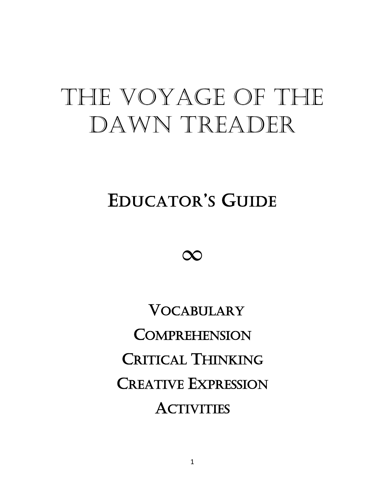# THE VOYAGE OF THE Dawn TreadeR

## EDUCATOR'S GUIDE



 VOCABULARY **COMPREHENSION** CRITICAL THINKING CREATIVE EXPRESSION **ACTIVITIES**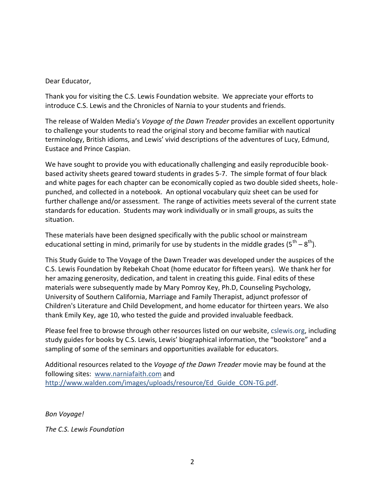Dear Educator,

Thank you for visiting the C.S. Lewis Foundation website. We appreciate your efforts to introduce C.S. Lewis and the Chronicles of Narnia to your students and friends.

The release of Walden Media's *Voyage of the Dawn Treader* provides an excellent opportunity to challenge your students to read the original story and become familiar with nautical terminology, British idioms, and Lewis' vivid descriptions of the adventures of Lucy, Edmund, Eustace and Prince Caspian.

We have sought to provide you with educationally challenging and easily reproducible bookbased activity sheets geared toward students in grades 5-7. The simple format of four black and white pages for each chapter can be economically copied as two double sided sheets, holepunched, and collected in a notebook. An optional vocabulary quiz sheet can be used for further challenge and/or assessment. The range of activities meets several of the current state standards for education. Students may work individually or in small groups, as suits the situation.

These materials have been designed specifically with the public school or mainstream educational setting in mind, primarily for use by students in the middle grades (5<sup>th</sup> – 8<sup>th</sup>).

This Study Guide to The Voyage of the Dawn Treader was developed under the auspices of the C.S. Lewis Foundation by Rebekah Choat (home educator for fifteen years). We thank her for her amazing generosity, dedication, and talent in creating this guide. Final edits of these materials were subsequently made by Mary Pomroy Key, Ph.D, Counseling Psychology, University of Southern California, Marriage and Family Therapist, adjunct professor of Children's Literature and Child Development, and home educator for thirteen years. We also thank Emily Key, age 10, who tested the guide and provided invaluable feedback.

Please feel free to browse through other resources listed on our website, cslewis.org, including study guides for books by C.S. Lewis, Lewis' biographical information, the "bookstore" and a sampling of some of the seminars and opportunities available for educators.

Additional resources related to the *Voyage of the Dawn Treader* movie may be found at the following sites: [www.narniafaith.com](http://www.narniafaith.com/) and http://www.walden.com/images/uploads/resource/Ed\_Guide\_CON-TG.pdf.

*Bon Voyage!*

*The C.S. Lewis Foundation*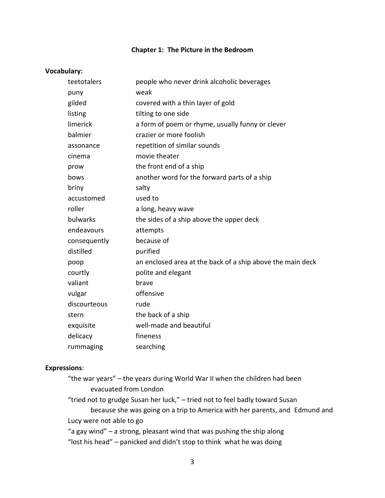#### **Chapter 1: The Picture in the Bedroom**

#### **Vocabulary:**

| teetotalers  | people who never drink alcoholic beverages                 |
|--------------|------------------------------------------------------------|
| puny         | weak                                                       |
| gilded       | covered with a thin layer of gold                          |
| listing      | tilting to one side                                        |
| limerick     | a form of poem or rhyme, usually funny or clever           |
| balmier      | crazier or more foolish                                    |
| assonance    | repetition of similar sounds                               |
| cinema       | movie theater                                              |
| prow         | the front end of a ship                                    |
| bows         | another word for the forward parts of a ship               |
| briny        | salty                                                      |
| accustomed   | used to                                                    |
| roller       | a long, heavy wave                                         |
| bulwarks     | the sides of a ship above the upper deck                   |
| endeavours   | attempts                                                   |
| consequently | because of                                                 |
| distilled    | purified                                                   |
| poop         | an enclosed area at the back of a ship above the main deck |
| courtly      | polite and elegant                                         |
| valiant      | brave                                                      |
| vulgar       | offensive                                                  |
| discourteous | rude                                                       |
| stern        | the back of a ship                                         |
| exquisite    | well-made and beautiful                                    |
| delicacy     | fineness                                                   |
| rummaging    | searching                                                  |

#### **Expressions**:

| "the war years" – the years during World War II when the children had been |  |
|----------------------------------------------------------------------------|--|
| evacuated from London                                                      |  |

"tried not to grudge Susan her luck," – tried not to feel badly toward Susan because she was going on a trip to America with her parents, and Edmund and Lucy were not able to go

"a gay wind" – a strong, pleasant wind that was pushing the ship along "lost his head" – panicked and didn't stop to think what he was doing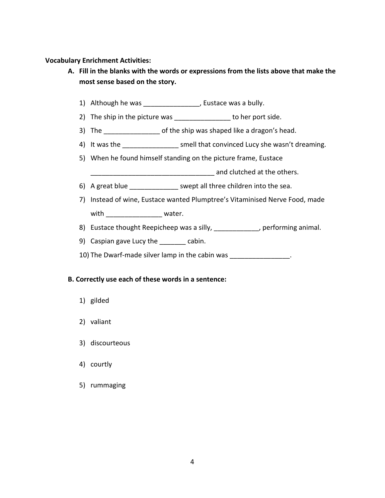#### **Vocabulary Enrichment Activities:**

- **A. Fill in the blanks with the words or expressions from the lists above that make the most sense based on the story.**
	- 1) Although he was \_\_\_\_\_\_\_\_\_\_\_\_\_\_\_, Eustace was a bully.
	- 2) The ship in the picture was to her port side.
	- 3) The ship was shaped like a dragon's head.
	- 4) It was the smell that convinced Lucy she wasn't dreaming.
	- 5) When he found himself standing on the picture frame, Eustace
		- and clutched at the others.
	- 6) A great blue \_\_\_\_\_\_\_\_\_\_\_\_\_\_\_ swept all three children into the sea.
	- 7) Instead of wine, Eustace wanted Plumptree's Vitaminised Nerve Food, made with \_\_\_\_\_\_\_\_\_\_\_\_\_\_\_\_\_\_\_\_ water.
	- 8) Eustace thought Reepicheep was a silly, \_\_\_\_\_\_\_\_\_\_\_\_, performing animal.
	- 9) Caspian gave Lucy the \_\_\_\_\_\_\_ cabin.
	- 10) The Dwarf-made silver lamp in the cabin was \_\_\_\_\_\_\_\_\_\_\_\_\_\_\_\_.

#### **B. Correctly use each of these words in a sentence:**

- 1) gilded
- 2) valiant
- 3) discourteous
- 4) courtly
- 5) rummaging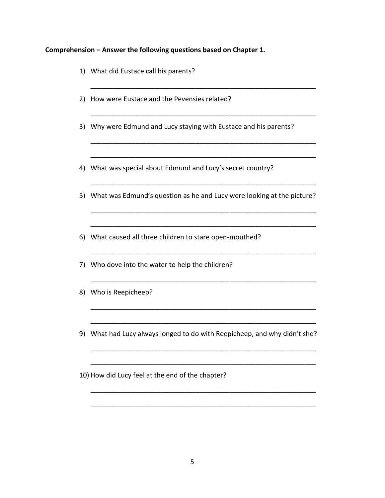#### **Comprehension – Answer the following questions based on Chapter 1.**

- 1) What did Eustace call his parents?
- 2) How were Eustace and the Pevensies related?
- 3) Why were Edmund and Lucy staying with Eustace and his parents?

\_\_\_\_\_\_\_\_\_\_\_\_\_\_\_\_\_\_\_\_\_\_\_\_\_\_\_\_\_\_\_\_\_\_\_\_\_\_\_\_\_\_\_\_\_\_\_\_\_\_\_\_\_\_\_\_\_\_\_\_

\_\_\_\_\_\_\_\_\_\_\_\_\_\_\_\_\_\_\_\_\_\_\_\_\_\_\_\_\_\_\_\_\_\_\_\_\_\_\_\_\_\_\_\_\_\_\_\_\_\_\_\_\_\_\_\_\_\_\_\_

\_\_\_\_\_\_\_\_\_\_\_\_\_\_\_\_\_\_\_\_\_\_\_\_\_\_\_\_\_\_\_\_\_\_\_\_\_\_\_\_\_\_\_\_\_\_\_\_\_\_\_\_\_\_\_\_\_\_\_\_

\_\_\_\_\_\_\_\_\_\_\_\_\_\_\_\_\_\_\_\_\_\_\_\_\_\_\_\_\_\_\_\_\_\_\_\_\_\_\_\_\_\_\_\_\_\_\_\_\_\_\_\_\_\_\_\_\_\_\_\_

\_\_\_\_\_\_\_\_\_\_\_\_\_\_\_\_\_\_\_\_\_\_\_\_\_\_\_\_\_\_\_\_\_\_\_\_\_\_\_\_\_\_\_\_\_\_\_\_\_\_\_\_\_\_\_\_\_\_\_\_

\_\_\_\_\_\_\_\_\_\_\_\_\_\_\_\_\_\_\_\_\_\_\_\_\_\_\_\_\_\_\_\_\_\_\_\_\_\_\_\_\_\_\_\_\_\_\_\_\_\_\_\_\_\_\_\_\_\_\_\_

\_\_\_\_\_\_\_\_\_\_\_\_\_\_\_\_\_\_\_\_\_\_\_\_\_\_\_\_\_\_\_\_\_\_\_\_\_\_\_\_\_\_\_\_\_\_\_\_\_\_\_\_\_\_\_\_\_\_\_\_

\_\_\_\_\_\_\_\_\_\_\_\_\_\_\_\_\_\_\_\_\_\_\_\_\_\_\_\_\_\_\_\_\_\_\_\_\_\_\_\_\_\_\_\_\_\_\_\_\_\_\_\_\_\_\_\_\_\_\_\_

\_\_\_\_\_\_\_\_\_\_\_\_\_\_\_\_\_\_\_\_\_\_\_\_\_\_\_\_\_\_\_\_\_\_\_\_\_\_\_\_\_\_\_\_\_\_\_\_\_\_\_\_\_\_\_\_\_\_\_\_

\_\_\_\_\_\_\_\_\_\_\_\_\_\_\_\_\_\_\_\_\_\_\_\_\_\_\_\_\_\_\_\_\_\_\_\_\_\_\_\_\_\_\_\_\_\_\_\_\_\_\_\_\_\_\_\_\_\_\_\_

\_\_\_\_\_\_\_\_\_\_\_\_\_\_\_\_\_\_\_\_\_\_\_\_\_\_\_\_\_\_\_\_\_\_\_\_\_\_\_\_\_\_\_\_\_\_\_\_\_\_\_\_\_\_\_\_\_\_\_\_

\_\_\_\_\_\_\_\_\_\_\_\_\_\_\_\_\_\_\_\_\_\_\_\_\_\_\_\_\_\_\_\_\_\_\_\_\_\_\_\_\_\_\_\_\_\_\_\_\_\_\_\_\_\_\_\_\_\_\_\_

\_\_\_\_\_\_\_\_\_\_\_\_\_\_\_\_\_\_\_\_\_\_\_\_\_\_\_\_\_\_\_\_\_\_\_\_\_\_\_\_\_\_\_\_\_\_\_\_\_\_\_\_\_\_\_\_\_\_\_\_

\_\_\_\_\_\_\_\_\_\_\_\_\_\_\_\_\_\_\_\_\_\_\_\_\_\_\_\_\_\_\_\_\_\_\_\_\_\_\_\_\_\_\_\_\_\_\_\_\_\_\_\_\_\_\_\_\_\_\_\_

\_\_\_\_\_\_\_\_\_\_\_\_\_\_\_\_\_\_\_\_\_\_\_\_\_\_\_\_\_\_\_\_\_\_\_\_\_\_\_\_\_\_\_\_\_\_\_\_\_\_\_\_\_\_\_\_\_\_\_\_

- 4) What was special about Edmund and Lucy's secret country?
- 5) What was Edmund's question as he and Lucy were looking at the picture?
- 6) What caused all three children to stare open-mouthed?
- 7) Who dove into the water to help the children?
- 8) Who is Reepicheep?
- 9) What had Lucy always longed to do with Reepicheep, and why didn't she?
- 10) How did Lucy feel at the end of the chapter?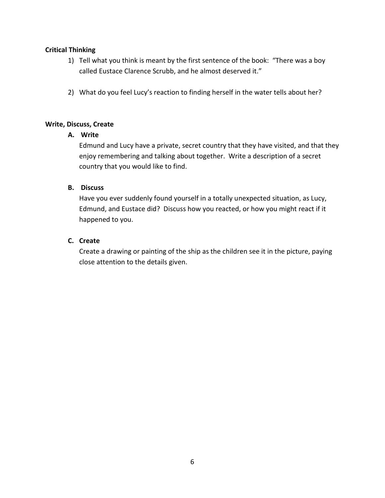- 1) Tell what you think is meant by the first sentence of the book: "There was a boy called Eustace Clarence Scrubb, and he almost deserved it."
- 2) What do you feel Lucy's reaction to finding herself in the water tells about her?

#### **Write, Discuss, Create**

#### **A. Write**

Edmund and Lucy have a private, secret country that they have visited, and that they enjoy remembering and talking about together. Write a description of a secret country that you would like to find.

#### **B. Discuss**

Have you ever suddenly found yourself in a totally unexpected situation, as Lucy, Edmund, and Eustace did? Discuss how you reacted, or how you might react if it happened to you.

#### **C. Create**

Create a drawing or painting of the ship as the children see it in the picture, paying close attention to the details given.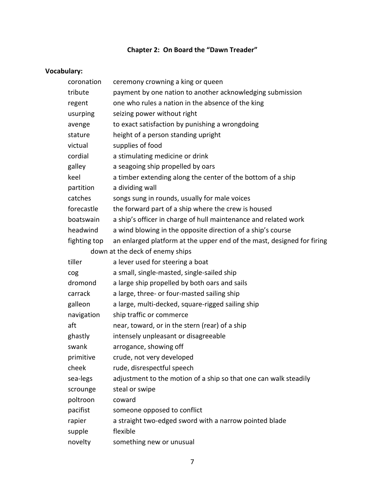## **Chapter 2: On Board the "Dawn Treader"**

## **Vocabulary:**

| coronation   | ceremony crowning a king or queen                                      |
|--------------|------------------------------------------------------------------------|
| tribute      | payment by one nation to another acknowledging submission              |
| regent       | one who rules a nation in the absence of the king                      |
| usurping     | seizing power without right                                            |
| avenge       | to exact satisfaction by punishing a wrongdoing                        |
| stature      | height of a person standing upright                                    |
| victual      | supplies of food                                                       |
| cordial      | a stimulating medicine or drink                                        |
| galley       | a seagoing ship propelled by oars                                      |
| keel         | a timber extending along the center of the bottom of a ship            |
| partition    | a dividing wall                                                        |
| catches      | songs sung in rounds, usually for male voices                          |
| forecastle   | the forward part of a ship where the crew is housed                    |
| boatswain    | a ship's officer in charge of hull maintenance and related work        |
| headwind     | a wind blowing in the opposite direction of a ship's course            |
| fighting top | an enlarged platform at the upper end of the mast, designed for firing |
|              | down at the deck of enemy ships                                        |
| tiller       | a lever used for steering a boat                                       |
| cog          | a small, single-masted, single-sailed ship                             |
| dromond      | a large ship propelled by both oars and sails                          |
| carrack      | a large, three- or four-masted sailing ship                            |
| galleon      | a large, multi-decked, square-rigged sailing ship                      |
| navigation   | ship traffic or commerce                                               |
| aft          | near, toward, or in the stern (rear) of a ship                         |
| ghastly      | intensely unpleasant or disagreeable                                   |
| swank        | arrogance, showing off                                                 |
| primitive    | crude, not very developed                                              |
| cheek        | rude, disrespectful speech                                             |
| sea-legs     | adjustment to the motion of a ship so that one can walk steadily       |
| scrounge     | steal or swipe                                                         |
| poltroon     | coward                                                                 |
| pacifist     | someone opposed to conflict                                            |
| rapier       | a straight two-edged sword with a narrow pointed blade                 |
| supple       | flexible                                                               |
| novelty      | something new or unusual                                               |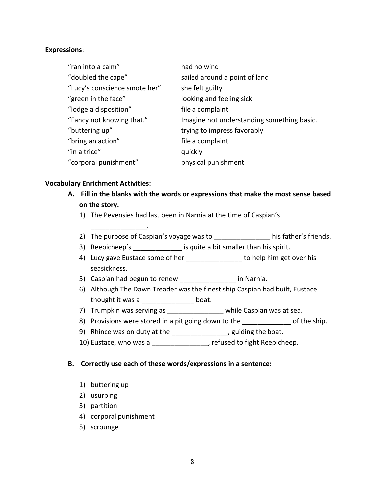#### **Expressions**:

| "ran into a calm"             | had no wind                                |
|-------------------------------|--------------------------------------------|
| "doubled the cape"            | sailed around a point of land              |
| "Lucy's conscience smote her" | she felt guilty                            |
| "green in the face"           | looking and feeling sick                   |
| "lodge a disposition"         | file a complaint                           |
| "Fancy not knowing that."     | Imagine not understanding something basic. |
| "buttering up"                | trying to impress favorably                |
| "bring an action"             | file a complaint                           |
| "in a trice"                  | quickly                                    |
| "corporal punishment"         | physical punishment                        |

#### **Vocabulary Enrichment Activities:**

\_\_\_\_\_\_\_\_\_\_\_\_\_\_\_.

- **A. Fill in the blanks with the words or expressions that make the most sense based on the story.**
	- 1) The Pevensies had last been in Narnia at the time of Caspian's
	- 2) The purpose of Caspian's voyage was to his father's friends.
	- 3) Reepicheep's \_\_\_\_\_\_\_\_\_\_\_\_\_\_\_ is quite a bit smaller than his spirit.
	- 4) Lucy gave Eustace some of her \_\_\_\_\_\_\_\_\_\_\_\_\_\_\_ to help him get over his seasickness.
	- 5) Caspian had begun to renew \_\_\_\_\_\_\_\_\_\_\_\_\_\_\_ in Narnia.
	- 6) Although The Dawn Treader was the finest ship Caspian had built, Eustace thought it was a \_\_\_\_\_\_\_\_\_\_\_\_\_\_ boat.
	- 7) Trumpkin was serving as \_\_\_\_\_\_\_\_\_\_\_\_\_\_\_\_\_\_ while Caspian was at sea.
	- 8) Provisions were stored in a pit going down to the state of the ship.
	- 9) Rhince was on duty at the \_\_\_\_\_\_\_\_\_\_\_\_\_\_\_, guiding the boat.
	- 10) Eustace, who was a **with the set of the set of the set of ight Reepicheep**.

#### **B. Correctly use each of these words/expressions in a sentence:**

- 1) buttering up
- 2) usurping
- 3) partition
- 4) corporal punishment
- 5) scrounge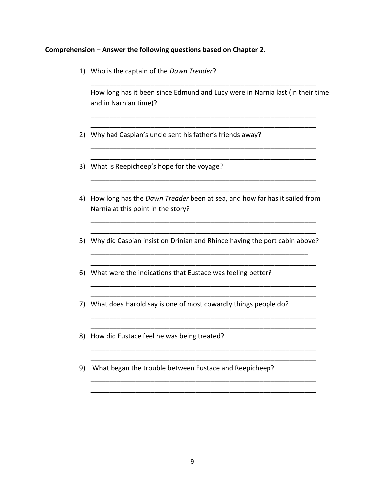#### **Comprehension – Answer the following questions based on Chapter 2.**

1) Who is the captain of the *Dawn Treader*?

How long has it been since Edmund and Lucy were in Narnia last (in their time and in Narnian time)?

\_\_\_\_\_\_\_\_\_\_\_\_\_\_\_\_\_\_\_\_\_\_\_\_\_\_\_\_\_\_\_\_\_\_\_\_\_\_\_\_\_\_\_\_\_\_\_\_\_\_\_\_\_\_\_\_\_\_\_\_

\_\_\_\_\_\_\_\_\_\_\_\_\_\_\_\_\_\_\_\_\_\_\_\_\_\_\_\_\_\_\_\_\_\_\_\_\_\_\_\_\_\_\_\_\_\_\_\_\_\_\_\_\_\_\_\_\_\_\_\_ \_\_\_\_\_\_\_\_\_\_\_\_\_\_\_\_\_\_\_\_\_\_\_\_\_\_\_\_\_\_\_\_\_\_\_\_\_\_\_\_\_\_\_\_\_\_\_\_\_\_\_\_\_\_\_\_\_\_\_\_

\_\_\_\_\_\_\_\_\_\_\_\_\_\_\_\_\_\_\_\_\_\_\_\_\_\_\_\_\_\_\_\_\_\_\_\_\_\_\_\_\_\_\_\_\_\_\_\_\_\_\_\_\_\_\_\_\_\_\_\_ \_\_\_\_\_\_\_\_\_\_\_\_\_\_\_\_\_\_\_\_\_\_\_\_\_\_\_\_\_\_\_\_\_\_\_\_\_\_\_\_\_\_\_\_\_\_\_\_\_\_\_\_\_\_\_\_\_\_\_\_

\_\_\_\_\_\_\_\_\_\_\_\_\_\_\_\_\_\_\_\_\_\_\_\_\_\_\_\_\_\_\_\_\_\_\_\_\_\_\_\_\_\_\_\_\_\_\_\_\_\_\_\_\_\_\_\_\_\_\_\_ \_\_\_\_\_\_\_\_\_\_\_\_\_\_\_\_\_\_\_\_\_\_\_\_\_\_\_\_\_\_\_\_\_\_\_\_\_\_\_\_\_\_\_\_\_\_\_\_\_\_\_\_\_\_\_\_\_\_\_\_

- 2) Why had Caspian's uncle sent his father's friends away?
- 3) What is Reepicheep's hope for the voyage?
- 4) How long has the *Dawn Treader* been at sea, and how far has it sailed from Narnia at this point in the story?

\_\_\_\_\_\_\_\_\_\_\_\_\_\_\_\_\_\_\_\_\_\_\_\_\_\_\_\_\_\_\_\_\_\_\_\_\_\_\_\_\_\_\_\_\_\_\_\_\_\_\_\_\_\_\_\_\_\_\_\_ \_\_\_\_\_\_\_\_\_\_\_\_\_\_\_\_\_\_\_\_\_\_\_\_\_\_\_\_\_\_\_\_\_\_\_\_\_\_\_\_\_\_\_\_\_\_\_\_\_\_\_\_\_\_\_\_\_\_\_\_

5) Why did Caspian insist on Drinian and Rhince having the port cabin above? \_\_\_\_\_\_\_\_\_\_\_\_\_\_\_\_\_\_\_\_\_\_\_\_\_\_\_\_\_\_\_\_\_\_\_\_\_\_\_\_\_\_\_\_\_\_\_\_\_\_\_\_\_\_\_\_\_\_

\_\_\_\_\_\_\_\_\_\_\_\_\_\_\_\_\_\_\_\_\_\_\_\_\_\_\_\_\_\_\_\_\_\_\_\_\_\_\_\_\_\_\_\_\_\_\_\_\_\_\_\_\_\_\_\_\_\_\_\_

\_\_\_\_\_\_\_\_\_\_\_\_\_\_\_\_\_\_\_\_\_\_\_\_\_\_\_\_\_\_\_\_\_\_\_\_\_\_\_\_\_\_\_\_\_\_\_\_\_\_\_\_\_\_\_\_\_\_\_\_ \_\_\_\_\_\_\_\_\_\_\_\_\_\_\_\_\_\_\_\_\_\_\_\_\_\_\_\_\_\_\_\_\_\_\_\_\_\_\_\_\_\_\_\_\_\_\_\_\_\_\_\_\_\_\_\_\_\_\_\_

\_\_\_\_\_\_\_\_\_\_\_\_\_\_\_\_\_\_\_\_\_\_\_\_\_\_\_\_\_\_\_\_\_\_\_\_\_\_\_\_\_\_\_\_\_\_\_\_\_\_\_\_\_\_\_\_\_\_\_\_ \_\_\_\_\_\_\_\_\_\_\_\_\_\_\_\_\_\_\_\_\_\_\_\_\_\_\_\_\_\_\_\_\_\_\_\_\_\_\_\_\_\_\_\_\_\_\_\_\_\_\_\_\_\_\_\_\_\_\_\_

\_\_\_\_\_\_\_\_\_\_\_\_\_\_\_\_\_\_\_\_\_\_\_\_\_\_\_\_\_\_\_\_\_\_\_\_\_\_\_\_\_\_\_\_\_\_\_\_\_\_\_\_\_\_\_\_\_\_\_\_ \_\_\_\_\_\_\_\_\_\_\_\_\_\_\_\_\_\_\_\_\_\_\_\_\_\_\_\_\_\_\_\_\_\_\_\_\_\_\_\_\_\_\_\_\_\_\_\_\_\_\_\_\_\_\_\_\_\_\_\_

\_\_\_\_\_\_\_\_\_\_\_\_\_\_\_\_\_\_\_\_\_\_\_\_\_\_\_\_\_\_\_\_\_\_\_\_\_\_\_\_\_\_\_\_\_\_\_\_\_\_\_\_\_\_\_\_\_\_\_\_ \_\_\_\_\_\_\_\_\_\_\_\_\_\_\_\_\_\_\_\_\_\_\_\_\_\_\_\_\_\_\_\_\_\_\_\_\_\_\_\_\_\_\_\_\_\_\_\_\_\_\_\_\_\_\_\_\_\_\_\_

- 6) What were the indications that Eustace was feeling better?
- 7) What does Harold say is one of most cowardly things people do?
- 8) How did Eustace feel he was being treated?
- 9) What began the trouble between Eustace and Reepicheep?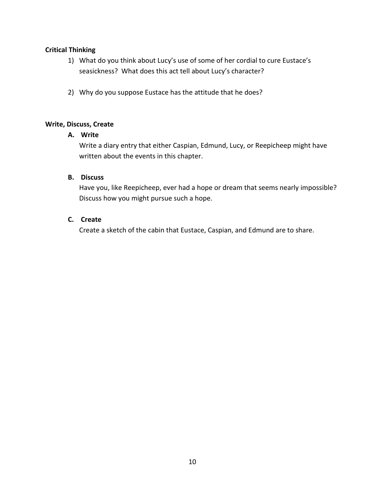- 1) What do you think about Lucy's use of some of her cordial to cure Eustace's seasickness? What does this act tell about Lucy's character?
- 2) Why do you suppose Eustace has the attitude that he does?

#### **Write, Discuss, Create**

#### **A. Write**

Write a diary entry that either Caspian, Edmund, Lucy, or Reepicheep might have written about the events in this chapter.

#### **B. Discuss**

Have you, like Reepicheep, ever had a hope or dream that seems nearly impossible? Discuss how you might pursue such a hope.

#### **C. Create**

Create a sketch of the cabin that Eustace, Caspian, and Edmund are to share.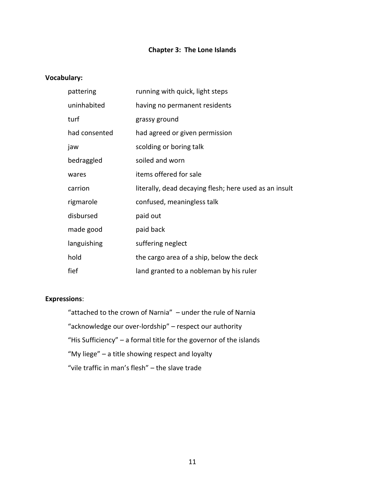#### **Chapter 3: The Lone Islands**

#### **Vocabulary:**

| pattering     | running with quick, light steps                        |
|---------------|--------------------------------------------------------|
| uninhabited   | having no permanent residents                          |
| turf          | grassy ground                                          |
| had consented | had agreed or given permission                         |
| jaw           | scolding or boring talk                                |
| bedraggled    | soiled and worn                                        |
| wares         | items offered for sale                                 |
| carrion       | literally, dead decaying flesh; here used as an insult |
| rigmarole     | confused, meaningless talk                             |
| disbursed     | paid out                                               |
| made good     | paid back                                              |
| languishing   | suffering neglect                                      |
| hold          | the cargo area of a ship, below the deck               |
| fief          | land granted to a nobleman by his ruler                |

#### **Expressions**:

"attached to the crown of Narnia" – under the rule of Narnia "acknowledge our over-lordship" – respect our authority "His Sufficiency" – a formal title for the governor of the islands "My liege" – a title showing respect and loyalty "vile traffic in man's flesh" – the slave trade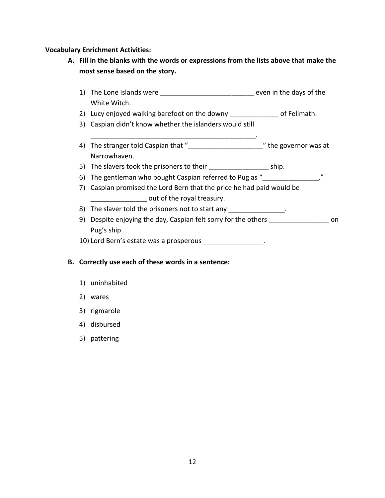#### **Vocabulary Enrichment Activities:**

- **A. Fill in the blanks with the words or expressions from the lists above that make the most sense based on the story.**
	- 1) The Lone Islands were \_\_\_\_\_\_\_\_\_\_\_\_\_\_\_\_\_\_\_\_\_\_\_\_\_\_\_\_\_\_\_ even in the days of the White Witch.
	- 2) Lucy enjoyed walking barefoot on the downy \_\_\_\_\_\_\_\_\_\_\_\_\_\_ of Felimath.
	- 3) Caspian didn't know whether the islanders would still

\_\_\_\_\_\_\_\_\_\_\_\_\_\_\_\_\_\_\_\_\_\_\_\_\_\_\_\_\_\_\_\_\_\_\_\_\_\_\_\_\_\_\_\_.

- 4) The stranger told Caspian that "\_\_\_\_\_\_\_\_\_\_\_\_\_\_\_\_\_\_\_\_\_\_\_\_\_\_" the governor was at Narrowhaven.
- 5) The slavers took the prisoners to their example in the ship.
- 6) The gentleman who bought Caspian referred to Pug as  $''$
- 7) Caspian promised the Lord Bern that the price he had paid would be out of the royal treasury.
- 8) The slaver told the prisoners not to start any \_\_\_\_\_\_\_\_\_\_\_\_\_\_\_.
- 9) Despite enjoying the day, Caspian felt sorry for the others \_\_\_\_\_\_\_\_\_\_\_\_\_\_\_\_ on Pug's ship.
- 10) Lord Bern's estate was a prosperous \_\_\_\_\_\_\_\_\_\_\_\_\_\_\_\_\_.

#### **B. Correctly use each of these words in a sentence:**

- 1) uninhabited
- 2) wares
- 3) rigmarole
- 4) disbursed
- 5) pattering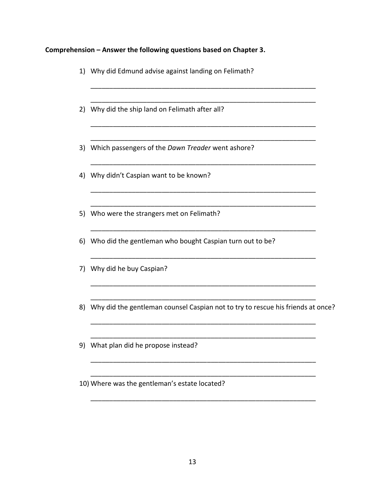## **Comprehension – Answer the following questions based on Chapter 3.**

|    | 1) Why did Edmund advise against landing on Felimath?                           |  |
|----|---------------------------------------------------------------------------------|--|
|    | 2) Why did the ship land on Felimath after all?                                 |  |
|    | 3) Which passengers of the Dawn Treader went ashore?                            |  |
|    | 4) Why didn't Caspian want to be known?                                         |  |
|    | 5) Who were the strangers met on Felimath?                                      |  |
|    | 6) Who did the gentleman who bought Caspian turn out to be?                     |  |
| 7) | Why did he buy Caspian?                                                         |  |
| 8) | Why did the gentleman counsel Caspian not to try to rescue his friends at once? |  |
|    | 9) What plan did he propose instead?                                            |  |
|    | 10) Where was the gentleman's estate located?                                   |  |

\_\_\_\_\_\_\_\_\_\_\_\_\_\_\_\_\_\_\_\_\_\_\_\_\_\_\_\_\_\_\_\_\_\_\_\_\_\_\_\_\_\_\_\_\_\_\_\_\_\_\_\_\_\_\_\_\_\_\_\_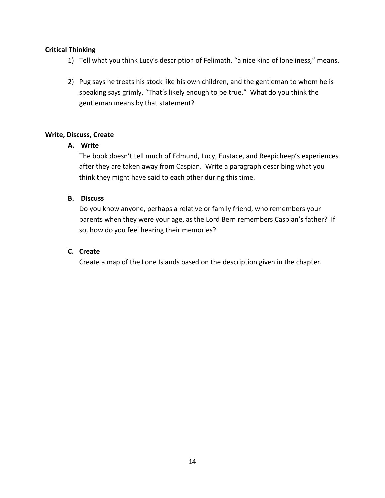- 1) Tell what you think Lucy's description of Felimath, "a nice kind of loneliness," means.
- 2) Pug says he treats his stock like his own children, and the gentleman to whom he is speaking says grimly, "That's likely enough to be true." What do you think the gentleman means by that statement?

#### **Write, Discuss, Create**

#### **A. Write**

The book doesn't tell much of Edmund, Lucy, Eustace, and Reepicheep's experiences after they are taken away from Caspian. Write a paragraph describing what you think they might have said to each other during this time.

#### **B. Discuss**

Do you know anyone, perhaps a relative or family friend, who remembers your parents when they were your age, as the Lord Bern remembers Caspian's father? If so, how do you feel hearing their memories?

#### **C. Create**

Create a map of the Lone Islands based on the description given in the chapter.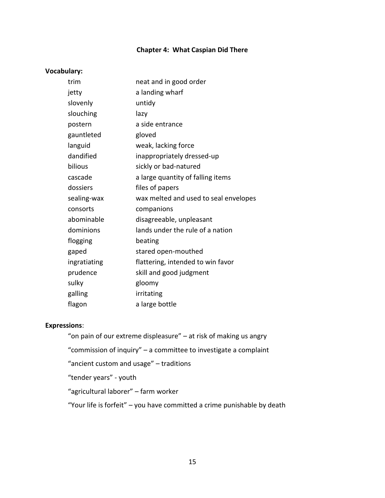#### **Chapter 4: What Caspian Did There**

#### **Vocabulary:**

| trim         | neat and in good order                |
|--------------|---------------------------------------|
| jetty        | a landing wharf                       |
| slovenly     | untidy                                |
| slouching    | lazy                                  |
| postern      | a side entrance                       |
| gauntleted   | gloved                                |
| languid      | weak, lacking force                   |
| dandified    | inappropriately dressed-up            |
| bilious      | sickly or bad-natured                 |
| cascade      | a large quantity of falling items     |
| dossiers     | files of papers                       |
| sealing-wax  | wax melted and used to seal envelopes |
| consorts     | companions                            |
| abominable   | disagreeable, unpleasant              |
| dominions    | lands under the rule of a nation      |
| flogging     | beating                               |
| gaped        | stared open-mouthed                   |
| ingratiating | flattering, intended to win favor     |
| prudence     | skill and good judgment               |
| sulky        | gloomy                                |
| galling      | irritating                            |
| flagon       | a large bottle                        |

#### **Expressions**:

"on pain of our extreme displeasure" – at risk of making us angry

"commission of inquiry" – a committee to investigate a complaint

"ancient custom and usage" – traditions

"tender years" - youth

"agricultural laborer" – farm worker

"Your life is forfeit" – you have committed a crime punishable by death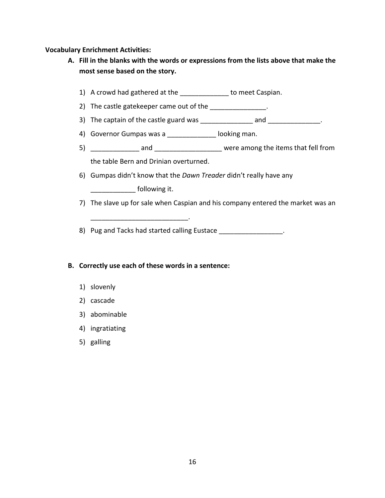#### **Vocabulary Enrichment Activities:**

- **A. Fill in the blanks with the words or expressions from the lists above that make the most sense based on the story.**
	- 1) A crowd had gathered at the \_\_\_\_\_\_\_\_\_\_\_\_\_ to meet Caspian.
	- 2) The castle gatekeeper came out of the \_\_\_\_\_\_\_\_\_\_\_\_\_\_\_.
	- 3) The captain of the castle guard was \_\_\_\_\_\_\_\_\_\_\_\_\_\_\_\_ and \_\_\_\_\_\_\_\_\_\_\_\_\_\_.
	- 4) Governor Gumpas was a \_\_\_\_\_\_\_\_\_\_\_\_\_\_ looking man.
	- 5) \_\_\_\_\_\_\_\_\_\_\_\_\_ and \_\_\_\_\_\_\_\_\_\_\_\_\_\_\_\_\_\_ were among the items that fell from the table Bern and Drinian overturned.
	- 6) Gumpas didn't know that the *Dawn Treader* didn't really have any \_\_\_\_\_\_\_\_\_\_\_\_\_\_\_ following it.
	- 7) The slave up for sale when Caspian and his company entered the market was an

8) Pug and Tacks had started calling Eustace \_\_\_\_\_\_\_\_\_\_\_\_\_\_\_\_\_.

#### **B. Correctly use each of these words in a sentence:**

\_\_\_\_\_\_\_\_\_\_\_\_\_\_\_\_\_\_\_\_\_\_\_\_\_\_.

- 1) slovenly
- 2) cascade
- 3) abominable
- 4) ingratiating
- 5) galling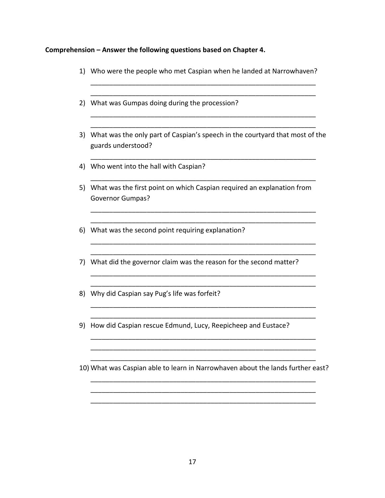## **Comprehension – Answer the following questions based on Chapter 4.**

|    | 1) Who were the people who met Caspian when he landed at Narrowhaven?                                 |
|----|-------------------------------------------------------------------------------------------------------|
|    | 2) What was Gumpas doing during the procession?                                                       |
|    | 3) What was the only part of Caspian's speech in the courtyard that most of the<br>guards understood? |
|    | 4) Who went into the hall with Caspian?                                                               |
|    | 5) What was the first point on which Caspian required an explanation from<br><b>Governor Gumpas?</b>  |
|    | 6) What was the second point requiring explanation?                                                   |
|    | 7) What did the governor claim was the reason for the second matter?                                  |
| 8) | Why did Caspian say Pug's life was forfeit?                                                           |
| 9) | How did Caspian rescue Edmund, Lucy, Reepicheep and Eustace?                                          |
|    | 10) What was Caspian able to learn in Narrowhaven about the lands further east?                       |
|    |                                                                                                       |

17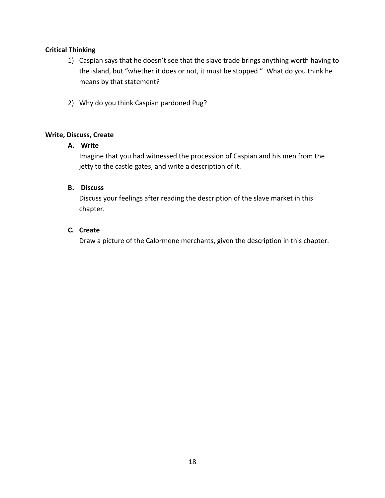- 1) Caspian says that he doesn't see that the slave trade brings anything worth having to the island, but "whether it does or not, it must be stopped." What do you think he means by that statement?
- 2) Why do you think Caspian pardoned Pug?

#### **Write, Discuss, Create**

#### **A. Write**

Imagine that you had witnessed the procession of Caspian and his men from the jetty to the castle gates, and write a description of it.

#### **B. Discuss**

Discuss your feelings after reading the description of the slave market in this chapter.

#### **C. Create**

Draw a picture of the Calormene merchants, given the description in this chapter.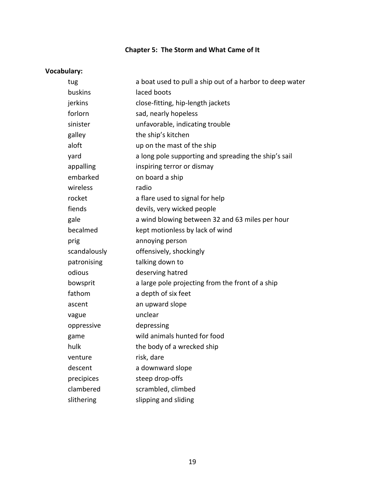## **Chapter 5: The Storm and What Came of It**

## **Vocabulary:**

| a boat used to pull a ship out of a harbor to deep water |
|----------------------------------------------------------|
| laced boots                                              |
| close-fitting, hip-length jackets                        |
| sad, nearly hopeless                                     |
| unfavorable, indicating trouble                          |
| the ship's kitchen                                       |
| up on the mast of the ship                               |
| a long pole supporting and spreading the ship's sail     |
| inspiring terror or dismay                               |
| on board a ship                                          |
| radio                                                    |
| a flare used to signal for help                          |
| devils, very wicked people                               |
| a wind blowing between 32 and 63 miles per hour          |
| kept motionless by lack of wind                          |
| annoying person                                          |
| offensively, shockingly                                  |
| talking down to                                          |
| deserving hatred                                         |
| a large pole projecting from the front of a ship         |
| a depth of six feet                                      |
| an upward slope                                          |
| unclear                                                  |
| depressing                                               |
| wild animals hunted for food                             |
| the body of a wrecked ship                               |
| risk, dare                                               |
| a downward slope                                         |
| steep drop-offs                                          |
| scrambled, climbed                                       |
| slipping and sliding                                     |
|                                                          |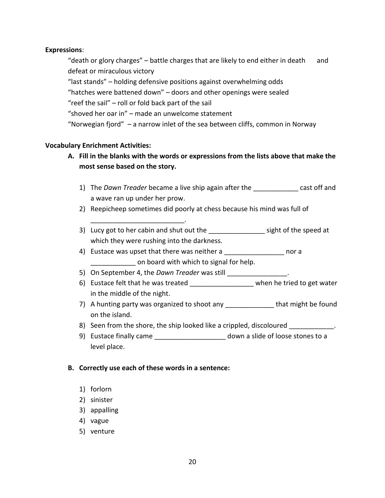#### **Expressions**:

"death or glory charges"  $-$  battle charges that are likely to end either in death and defeat or miraculous victory "last stands" – holding defensive positions against overwhelming odds "hatches were battened down" – doors and other openings were sealed "reef the sail" – roll or fold back part of the sail "shoved her oar in" – made an unwelcome statement "Norwegian fjord" – a narrow inlet of the sea between cliffs, common in Norway

#### **Vocabulary Enrichment Activities:**

- **A. Fill in the blanks with the words or expressions from the lists above that make the most sense based on the story.**
	- 1) The *Dawn Treader* became a live ship again after the \_\_\_\_\_\_\_\_\_\_\_\_ cast off and a wave ran up under her prow.
	- 2) Reepicheep sometimes did poorly at chess because his mind was full of
	- 3) Lucy got to her cabin and shut out the sight of the speed at which they were rushing into the darkness.
	- 4) Eustace was upset that there was neither a same mor a **EXECUTE:** On board with which to signal for help.
	- 5) On September 4, the *Dawn Treader* was still
	- 6) Eustace felt that he was treated when he tried to get water in the middle of the night.
	- 7) A hunting party was organized to shoot any that might be found on the island.
	- 8) Seen from the shore, the ship looked like a crippled, discoloured  $\blacksquare$
	- 9) Eustace finally came entitled a slide of loose stones to a level place.

#### **B. Correctly use each of these words in a sentence:**

\_\_\_\_\_\_\_\_\_\_\_\_\_\_\_\_\_\_\_\_\_\_\_\_\_.

- 1) forlorn
- 2) sinister
- 3) appalling
- 4) vague
- 5) venture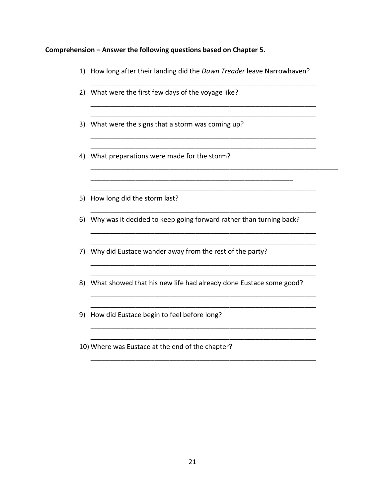#### **Comprehension – Answer the following questions based on Chapter 5.**

1) How long after their landing did the *Dawn Treader* leave Narrowhaven?

\_\_\_\_\_\_\_\_\_\_\_\_\_\_\_\_\_\_\_\_\_\_\_\_\_\_\_\_\_\_\_\_\_\_\_\_\_\_\_\_\_\_\_\_\_\_\_\_\_\_\_\_\_\_\_\_\_\_\_\_

\_\_\_\_\_\_\_\_\_\_\_\_\_\_\_\_\_\_\_\_\_\_\_\_\_\_\_\_\_\_\_\_\_\_\_\_\_\_\_\_\_\_\_\_\_\_\_\_\_\_\_\_\_\_\_\_\_\_\_\_

\_\_\_\_\_\_\_\_\_\_\_\_\_\_\_\_\_\_\_\_\_\_\_\_\_\_\_\_\_\_\_\_\_\_\_\_\_\_\_\_\_\_\_\_\_\_\_\_\_\_\_\_\_\_\_\_\_\_\_\_ \_\_\_\_\_\_\_\_\_\_\_\_\_\_\_\_\_\_\_\_\_\_\_\_\_\_\_\_\_\_\_\_\_\_\_\_\_\_\_\_\_\_\_\_\_\_\_\_\_\_\_\_\_\_\_\_\_\_\_\_

\_\_\_\_\_\_\_\_\_\_\_\_\_\_\_\_\_\_\_\_\_\_\_\_\_\_\_\_\_\_\_\_\_\_\_\_\_\_\_\_\_\_\_\_\_\_\_\_\_\_\_\_\_\_\_\_\_\_\_\_

\_\_\_\_\_\_\_\_\_\_\_\_\_\_\_\_\_\_\_\_\_\_\_\_\_\_\_\_\_\_\_\_\_\_\_\_\_\_\_\_\_\_\_\_\_\_\_\_\_\_\_\_\_\_\_\_\_\_\_\_

\_\_\_\_\_\_\_\_\_\_\_\_\_\_\_\_\_\_\_\_\_\_\_\_\_\_\_\_\_\_\_\_\_\_\_\_\_\_\_\_\_\_\_\_\_\_\_\_\_\_\_\_\_\_\_\_\_\_\_\_ \_\_\_\_\_\_\_\_\_\_\_\_\_\_\_\_\_\_\_\_\_\_\_\_\_\_\_\_\_\_\_\_\_\_\_\_\_\_\_\_\_\_\_\_\_\_\_\_\_\_\_\_\_\_\_\_\_\_\_\_

\_\_\_\_\_\_\_\_\_\_\_\_\_\_\_\_\_\_\_\_\_\_\_\_\_\_\_\_\_\_\_\_\_\_\_\_\_\_\_\_\_\_\_\_\_\_\_\_\_\_\_\_\_\_\_\_\_\_\_\_ \_\_\_\_\_\_\_\_\_\_\_\_\_\_\_\_\_\_\_\_\_\_\_\_\_\_\_\_\_\_\_\_\_\_\_\_\_\_\_\_\_\_\_\_\_\_\_\_\_\_\_\_\_\_\_\_\_\_\_\_

\_\_\_\_\_\_\_\_\_\_\_\_\_\_\_\_\_\_\_\_\_\_\_\_\_\_\_\_\_\_\_\_\_\_\_\_\_\_\_\_\_\_\_\_\_\_\_\_\_\_\_\_\_\_\_\_\_\_\_\_ \_\_\_\_\_\_\_\_\_\_\_\_\_\_\_\_\_\_\_\_\_\_\_\_\_\_\_\_\_\_\_\_\_\_\_\_\_\_\_\_\_\_\_\_\_\_\_\_\_\_\_\_\_\_\_\_\_\_\_\_

\_\_\_\_\_\_\_\_\_\_\_\_\_\_\_\_\_\_\_\_\_\_\_\_\_\_\_\_\_\_\_\_\_\_\_\_\_\_\_\_\_\_\_\_\_\_\_\_\_\_\_\_\_\_\_\_\_\_\_\_ \_\_\_\_\_\_\_\_\_\_\_\_\_\_\_\_\_\_\_\_\_\_\_\_\_\_\_\_\_\_\_\_\_\_\_\_\_\_\_\_\_\_\_\_\_\_\_\_\_\_\_\_\_\_\_\_\_\_\_\_

\_\_\_\_\_\_\_\_\_\_\_\_\_\_\_\_\_\_\_\_\_\_\_\_\_\_\_\_\_\_\_\_\_\_\_\_\_\_\_\_\_\_\_\_\_\_\_\_\_\_\_\_\_\_\_\_\_\_\_\_

\_\_\_\_\_\_\_\_\_\_\_\_\_\_\_\_\_\_\_\_\_\_\_\_\_\_\_\_\_\_\_\_\_\_\_\_\_\_\_\_\_\_\_\_\_\_\_\_\_\_\_\_\_\_\_\_\_\_\_\_\_\_\_\_\_\_

- 2) What were the first few days of the voyage like?
- 3) What were the signs that a storm was coming up?
- 4) What preparations were made for the storm?
- 5) How long did the storm last?
- 6) Why was it decided to keep going forward rather than turning back?

\_\_\_\_\_\_\_\_\_\_\_\_\_\_\_\_\_\_\_\_\_\_\_\_\_\_\_\_\_\_\_\_\_\_\_\_\_\_\_\_\_\_\_\_\_\_\_\_\_\_\_\_\_\_

- 7) Why did Eustace wander away from the rest of the party?
- 8) What showed that his new life had already done Eustace some good?
- 9) How did Eustace begin to feel before long?
- 10) Where was Eustace at the end of the chapter?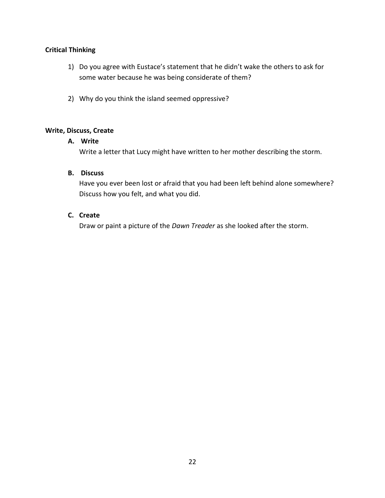- 1) Do you agree with Eustace's statement that he didn't wake the others to ask for some water because he was being considerate of them?
- 2) Why do you think the island seemed oppressive?

#### **Write, Discuss, Create**

#### **A. Write**

Write a letter that Lucy might have written to her mother describing the storm.

#### **B. Discuss**

Have you ever been lost or afraid that you had been left behind alone somewhere? Discuss how you felt, and what you did.

#### **C. Create**

Draw or paint a picture of the *Dawn Treader* as she looked after the storm.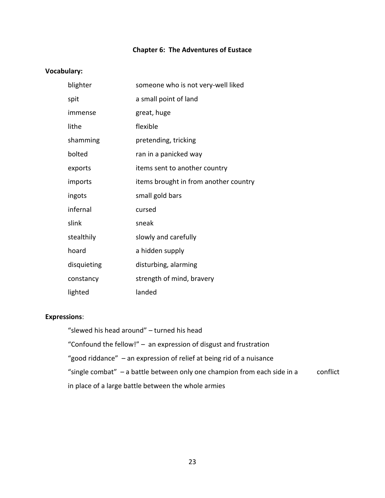#### **Chapter 6: The Adventures of Eustace**

#### **Vocabulary:**

| blighter    | someone who is not very-well liked    |
|-------------|---------------------------------------|
| spit        | a small point of land                 |
| immense     | great, huge                           |
| lithe       | flexible                              |
| shamming    | pretending, tricking                  |
| bolted      | ran in a panicked way                 |
| exports     | items sent to another country         |
| imports     | items brought in from another country |
| ingots      | small gold bars                       |
| infernal    | cursed                                |
| slink       | sneak                                 |
| stealthily  | slowly and carefully                  |
| hoard       | a hidden supply                       |
| disquieting | disturbing, alarming                  |
| constancy   | strength of mind, bravery             |
| lighted     | landed                                |

#### **Expressions**:

"slewed his head around" – turned his head

"Confound the fellow!" – an expression of disgust and frustration

"good riddance" – an expression of relief at being rid of a nuisance

"single combat" – a battle between only one champion from each side in a conflict

in place of a large battle between the whole armies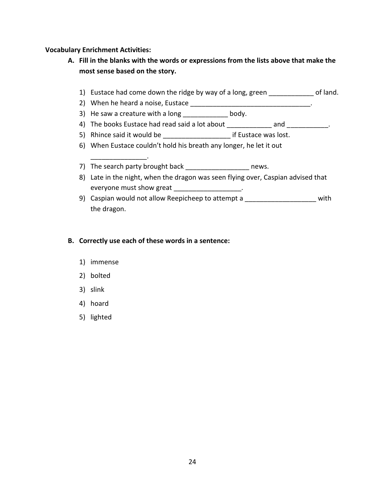#### **Vocabulary Enrichment Activities:**

- **A. Fill in the blanks with the words or expressions from the lists above that make the most sense based on the story.**
	- 1) Eustace had come down the ridge by way of a long, green \_\_\_\_\_\_\_\_\_\_\_\_ of land.
	- 2) When he heard a noise, Eustace \_\_\_\_\_\_\_\_\_\_\_\_\_\_\_\_\_\_\_\_\_\_\_\_\_\_\_\_\_\_\_\_.
	- 3) He saw a creature with a long body.
	- 4) The books Eustace had read said a lot about \_\_\_\_\_\_\_\_\_\_\_\_ and \_\_\_\_\_\_\_\_\_\_\_.
	- 5) Rhince said it would be example if Eustace was lost.
	- 6) When Eustace couldn't hold his breath any longer, he let it out
	- 7) The search party brought back and the search party brought back
	- 8) Late in the night, when the dragon was seen flying over, Caspian advised that everyone must show great \_\_\_\_\_\_\_\_\_\_\_\_\_\_\_\_\_\_\_\_.
	- 9) Caspian would not allow Reepicheep to attempt a \_\_\_\_\_\_\_\_\_\_\_\_\_\_\_\_\_\_\_\_\_\_ with the dragon.

#### **B. Correctly use each of these words in a sentence:**

1) immense

\_\_\_\_\_\_\_\_\_\_\_\_\_\_\_.

- 2) bolted
- 3) slink
- 4) hoard
- 5) lighted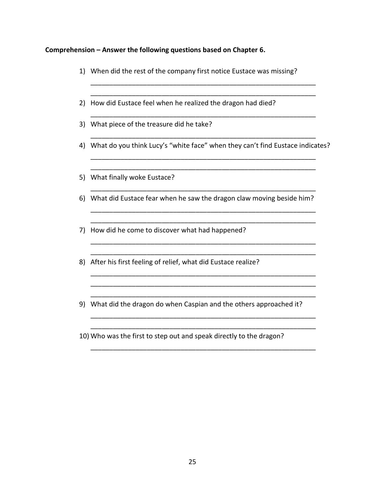#### **Comprehension – Answer the following questions based on Chapter 6.**

- 1) When did the rest of the company first notice Eustace was missing?
- 2) How did Eustace feel when he realized the dragon had died?
- 3) What piece of the treasure did he take?
- \_\_\_\_\_\_\_\_\_\_\_\_\_\_\_\_\_\_\_\_\_\_\_\_\_\_\_\_\_\_\_\_\_\_\_\_\_\_\_\_\_\_\_\_\_\_\_\_\_\_\_\_\_\_\_\_\_\_\_\_ 4) What do you think Lucy's "white face" when they can't find Eustace indicates? \_\_\_\_\_\_\_\_\_\_\_\_\_\_\_\_\_\_\_\_\_\_\_\_\_\_\_\_\_\_\_\_\_\_\_\_\_\_\_\_\_\_\_\_\_\_\_\_\_\_\_\_\_\_\_\_\_\_\_\_

\_\_\_\_\_\_\_\_\_\_\_\_\_\_\_\_\_\_\_\_\_\_\_\_\_\_\_\_\_\_\_\_\_\_\_\_\_\_\_\_\_\_\_\_\_\_\_\_\_\_\_\_\_\_\_\_\_\_\_\_

\_\_\_\_\_\_\_\_\_\_\_\_\_\_\_\_\_\_\_\_\_\_\_\_\_\_\_\_\_\_\_\_\_\_\_\_\_\_\_\_\_\_\_\_\_\_\_\_\_\_\_\_\_\_\_\_\_\_\_\_

\_\_\_\_\_\_\_\_\_\_\_\_\_\_\_\_\_\_\_\_\_\_\_\_\_\_\_\_\_\_\_\_\_\_\_\_\_\_\_\_\_\_\_\_\_\_\_\_\_\_\_\_\_\_\_\_\_\_\_\_ \_\_\_\_\_\_\_\_\_\_\_\_\_\_\_\_\_\_\_\_\_\_\_\_\_\_\_\_\_\_\_\_\_\_\_\_\_\_\_\_\_\_\_\_\_\_\_\_\_\_\_\_\_\_\_\_\_\_\_\_

\_\_\_\_\_\_\_\_\_\_\_\_\_\_\_\_\_\_\_\_\_\_\_\_\_\_\_\_\_\_\_\_\_\_\_\_\_\_\_\_\_\_\_\_\_\_\_\_\_\_\_\_\_\_\_\_\_\_\_\_ \_\_\_\_\_\_\_\_\_\_\_\_\_\_\_\_\_\_\_\_\_\_\_\_\_\_\_\_\_\_\_\_\_\_\_\_\_\_\_\_\_\_\_\_\_\_\_\_\_\_\_\_\_\_\_\_\_\_\_\_

\_\_\_\_\_\_\_\_\_\_\_\_\_\_\_\_\_\_\_\_\_\_\_\_\_\_\_\_\_\_\_\_\_\_\_\_\_\_\_\_\_\_\_\_\_\_\_\_\_\_\_\_\_\_\_\_\_\_\_\_ \_\_\_\_\_\_\_\_\_\_\_\_\_\_\_\_\_\_\_\_\_\_\_\_\_\_\_\_\_\_\_\_\_\_\_\_\_\_\_\_\_\_\_\_\_\_\_\_\_\_\_\_\_\_\_\_\_\_\_\_ \_\_\_\_\_\_\_\_\_\_\_\_\_\_\_\_\_\_\_\_\_\_\_\_\_\_\_\_\_\_\_\_\_\_\_\_\_\_\_\_\_\_\_\_\_\_\_\_\_\_\_\_\_\_\_\_\_\_\_\_

\_\_\_\_\_\_\_\_\_\_\_\_\_\_\_\_\_\_\_\_\_\_\_\_\_\_\_\_\_\_\_\_\_\_\_\_\_\_\_\_\_\_\_\_\_\_\_\_\_\_\_\_\_\_\_\_\_\_\_\_ \_\_\_\_\_\_\_\_\_\_\_\_\_\_\_\_\_\_\_\_\_\_\_\_\_\_\_\_\_\_\_\_\_\_\_\_\_\_\_\_\_\_\_\_\_\_\_\_\_\_\_\_\_\_\_\_\_\_\_\_

\_\_\_\_\_\_\_\_\_\_\_\_\_\_\_\_\_\_\_\_\_\_\_\_\_\_\_\_\_\_\_\_\_\_\_\_\_\_\_\_\_\_\_\_\_\_\_\_\_\_\_\_\_\_\_\_\_\_\_\_

\_\_\_\_\_\_\_\_\_\_\_\_\_\_\_\_\_\_\_\_\_\_\_\_\_\_\_\_\_\_\_\_\_\_\_\_\_\_\_\_\_\_\_\_\_\_\_\_\_\_\_\_\_\_\_\_\_\_\_\_ \_\_\_\_\_\_\_\_\_\_\_\_\_\_\_\_\_\_\_\_\_\_\_\_\_\_\_\_\_\_\_\_\_\_\_\_\_\_\_\_\_\_\_\_\_\_\_\_\_\_\_\_\_\_\_\_\_\_\_\_

\_\_\_\_\_\_\_\_\_\_\_\_\_\_\_\_\_\_\_\_\_\_\_\_\_\_\_\_\_\_\_\_\_\_\_\_\_\_\_\_\_\_\_\_\_\_\_\_\_\_\_\_\_\_\_\_\_\_\_\_

- 5) What finally woke Eustace?
- 6) What did Eustace fear when he saw the dragon claw moving beside him?
- 7) How did he come to discover what had happened?
- 8) After his first feeling of relief, what did Eustace realize?
- 9) What did the dragon do when Caspian and the others approached it?
- 10) Who was the first to step out and speak directly to the dragon?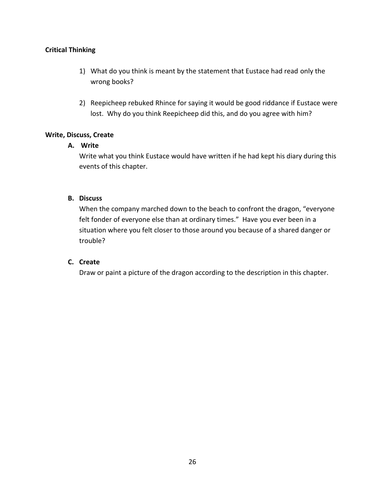- 1) What do you think is meant by the statement that Eustace had read only the wrong books?
- 2) Reepicheep rebuked Rhince for saying it would be good riddance if Eustace were lost. Why do you think Reepicheep did this, and do you agree with him?

#### **Write, Discuss, Create**

#### **A. Write**

Write what you think Eustace would have written if he had kept his diary during this events of this chapter.

#### **B. Discuss**

When the company marched down to the beach to confront the dragon, "everyone felt fonder of everyone else than at ordinary times." Have you ever been in a situation where you felt closer to those around you because of a shared danger or trouble?

#### **C. Create**

Draw or paint a picture of the dragon according to the description in this chapter.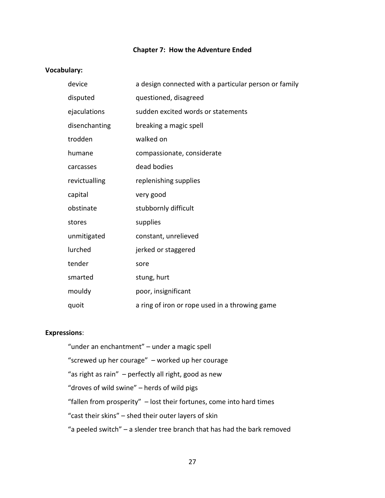#### **Chapter 7: How the Adventure Ended**

#### **Vocabulary:**

| device        | a design connected with a particular person or family |
|---------------|-------------------------------------------------------|
| disputed      | questioned, disagreed                                 |
| ejaculations  | sudden excited words or statements                    |
| disenchanting | breaking a magic spell                                |
| trodden       | walked on                                             |
| humane        | compassionate, considerate                            |
| carcasses     | dead bodies                                           |
| revictualling | replenishing supplies                                 |
| capital       | very good                                             |
| obstinate     | stubbornly difficult                                  |
| stores        | supplies                                              |
| unmitigated   | constant, unrelieved                                  |
| lurched       | jerked or staggered                                   |
| tender        | sore                                                  |
| smarted       | stung, hurt                                           |
| mouldy        | poor, insignificant                                   |
| quoit         | a ring of iron or rope used in a throwing game        |

#### **Expressions**:

"under an enchantment" – under a magic spell "screwed up her courage" – worked up her courage "as right as rain" – perfectly all right, good as new "droves of wild swine" – herds of wild pigs "fallen from prosperity" – lost their fortunes, come into hard times "cast their skins" – shed their outer layers of skin "a peeled switch" – a slender tree branch that has had the bark removed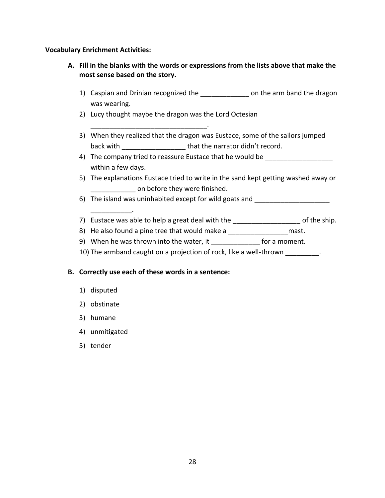#### **Vocabulary Enrichment Activities:**

- **A. Fill in the blanks with the words or expressions from the lists above that make the most sense based on the story.**
	- 1) Caspian and Drinian recognized the \_\_\_\_\_\_\_\_\_\_\_\_\_\_\_ on the arm band the dragon was wearing.
	- 2) Lucy thought maybe the dragon was the Lord Octesian

\_\_\_\_\_\_\_\_\_\_\_\_\_\_\_\_\_\_\_\_\_\_\_\_\_\_\_\_\_\_\_.

- 3) When they realized that the dragon was Eustace, some of the sailors jumped back with  $\qquad \qquad \qquad$  that the narrator didn't record.
- 4) The company tried to reassure Eustace that he would be within a few days.
- 5) The explanations Eustace tried to write in the sand kept getting washed away or on before they were finished.
- 6) The island was uninhabited except for wild goats and
- 7) Eustace was able to help a great deal with the \_\_\_\_\_\_\_\_\_\_\_\_\_\_\_\_\_\_\_\_\_ of the ship.
- 8) He also found a pine tree that would make a \_\_\_\_\_\_\_\_\_\_\_\_\_\_\_\_\_\_\_\_ mast.
- 9) When he was thrown into the water, it for a moment.
- 10) The armband caught on a projection of rock, like a well-thrown \_\_\_\_\_\_\_\_\_.

#### **B. Correctly use each of these words in a sentence:**

1) disputed

\_\_\_\_\_\_\_\_\_\_\_.

- 2) obstinate
- 3) humane
- 4) unmitigated
- 5) tender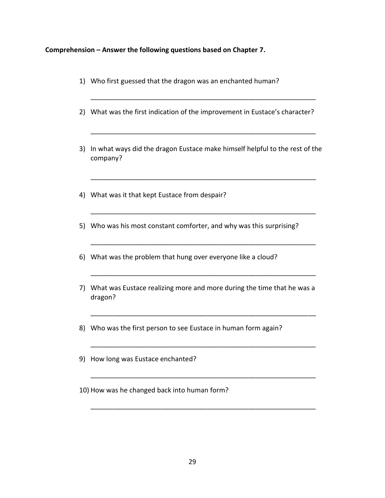#### **Comprehension – Answer the following questions based on Chapter 7.**

1) Who first guessed that the dragon was an enchanted human? \_\_\_\_\_\_\_\_\_\_\_\_\_\_\_\_\_\_\_\_\_\_\_\_\_\_\_\_\_\_\_\_\_\_\_\_\_\_\_\_\_\_\_\_\_\_\_\_\_\_\_\_\_\_\_\_\_\_\_\_ 2) What was the first indication of the improvement in Eustace's character? \_\_\_\_\_\_\_\_\_\_\_\_\_\_\_\_\_\_\_\_\_\_\_\_\_\_\_\_\_\_\_\_\_\_\_\_\_\_\_\_\_\_\_\_\_\_\_\_\_\_\_\_\_\_\_\_\_\_\_\_ 3) In what ways did the dragon Eustace make himself helpful to the rest of the company? \_\_\_\_\_\_\_\_\_\_\_\_\_\_\_\_\_\_\_\_\_\_\_\_\_\_\_\_\_\_\_\_\_\_\_\_\_\_\_\_\_\_\_\_\_\_\_\_\_\_\_\_\_\_\_\_\_\_\_\_ 4) What was it that kept Eustace from despair? \_\_\_\_\_\_\_\_\_\_\_\_\_\_\_\_\_\_\_\_\_\_\_\_\_\_\_\_\_\_\_\_\_\_\_\_\_\_\_\_\_\_\_\_\_\_\_\_\_\_\_\_\_\_\_\_\_\_\_\_ 5) Who was his most constant comforter, and why was this surprising? \_\_\_\_\_\_\_\_\_\_\_\_\_\_\_\_\_\_\_\_\_\_\_\_\_\_\_\_\_\_\_\_\_\_\_\_\_\_\_\_\_\_\_\_\_\_\_\_\_\_\_\_\_\_\_\_\_\_\_\_ 6) What was the problem that hung over everyone like a cloud? \_\_\_\_\_\_\_\_\_\_\_\_\_\_\_\_\_\_\_\_\_\_\_\_\_\_\_\_\_\_\_\_\_\_\_\_\_\_\_\_\_\_\_\_\_\_\_\_\_\_\_\_\_\_\_\_\_\_\_\_ 7) What was Eustace realizing more and more during the time that he was a dragon? \_\_\_\_\_\_\_\_\_\_\_\_\_\_\_\_\_\_\_\_\_\_\_\_\_\_\_\_\_\_\_\_\_\_\_\_\_\_\_\_\_\_\_\_\_\_\_\_\_\_\_\_\_\_\_\_\_\_\_\_ 8) Who was the first person to see Eustace in human form again? \_\_\_\_\_\_\_\_\_\_\_\_\_\_\_\_\_\_\_\_\_\_\_\_\_\_\_\_\_\_\_\_\_\_\_\_\_\_\_\_\_\_\_\_\_\_\_\_\_\_\_\_\_\_\_\_\_\_\_\_ 9) How long was Eustace enchanted? \_\_\_\_\_\_\_\_\_\_\_\_\_\_\_\_\_\_\_\_\_\_\_\_\_\_\_\_\_\_\_\_\_\_\_\_\_\_\_\_\_\_\_\_\_\_\_\_\_\_\_\_\_\_\_\_\_\_\_\_ 10) How was he changed back into human form?

\_\_\_\_\_\_\_\_\_\_\_\_\_\_\_\_\_\_\_\_\_\_\_\_\_\_\_\_\_\_\_\_\_\_\_\_\_\_\_\_\_\_\_\_\_\_\_\_\_\_\_\_\_\_\_\_\_\_\_\_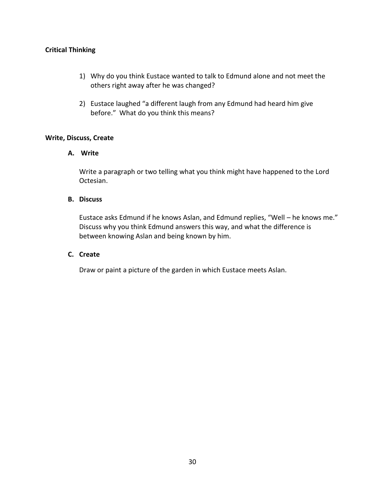- 1) Why do you think Eustace wanted to talk to Edmund alone and not meet the others right away after he was changed?
- 2) Eustace laughed "a different laugh from any Edmund had heard him give before." What do you think this means?

#### **Write, Discuss, Create**

#### **A. Write**

Write a paragraph or two telling what you think might have happened to the Lord Octesian.

#### **B. Discuss**

Eustace asks Edmund if he knows Aslan, and Edmund replies, "Well – he knows me." Discuss why you think Edmund answers this way, and what the difference is between knowing Aslan and being known by him.

#### **C. Create**

Draw or paint a picture of the garden in which Eustace meets Aslan.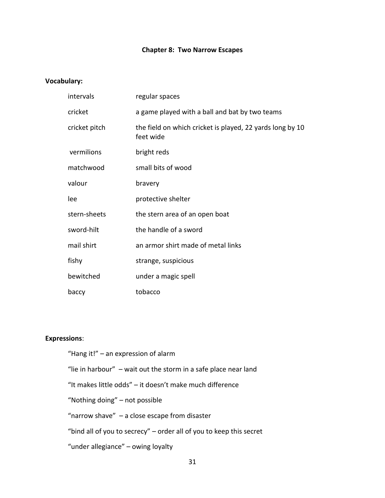#### **Chapter 8: Two Narrow Escapes**

#### **Vocabulary:**

| intervals     | regular spaces                                                         |
|---------------|------------------------------------------------------------------------|
| cricket       | a game played with a ball and bat by two teams                         |
| cricket pitch | the field on which cricket is played, 22 yards long by 10<br>feet wide |
| vermilions    | bright reds                                                            |
| matchwood     | small bits of wood                                                     |
| valour        | bravery                                                                |
| lee           | protective shelter                                                     |
| stern-sheets  | the stern area of an open boat                                         |
| sword-hilt    | the handle of a sword                                                  |
| mail shirt    | an armor shirt made of metal links                                     |
| fishy         | strange, suspicious                                                    |
| bewitched     | under a magic spell                                                    |
| baccy         | tobacco                                                                |

#### **Expressions**:

"Hang it!" – an expression of alarm "lie in harbour" – wait out the storm in a safe place near land "It makes little odds" – it doesn't make much difference "Nothing doing" – not possible "narrow shave" – a close escape from disaster "bind all of you to secrecy" – order all of you to keep this secret "under allegiance" – owing loyalty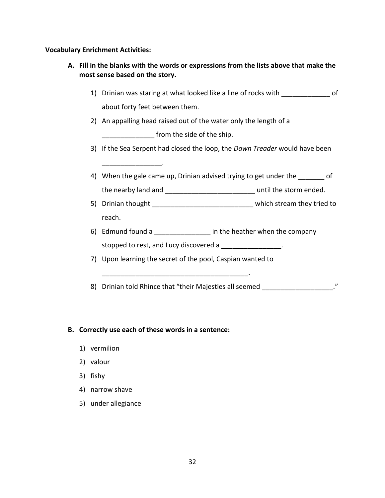**Vocabulary Enrichment Activities:**

- **A. Fill in the blanks with the words or expressions from the lists above that make the most sense based on the story.**
	- 1) Drinian was staring at what looked like a line of rocks with \_\_\_\_\_\_\_\_\_\_\_\_\_ of about forty feet between them.
	- 2) An appalling head raised out of the water only the length of a

**EXECUTE:** from the side of the ship.

- 3) If the Sea Serpent had closed the loop, the *Dawn Treader* would have been
- 4) When the gale came up, Drinian advised trying to get under the of the nearby land and \_\_\_\_\_\_\_\_\_\_\_\_\_\_\_\_\_\_\_\_\_\_\_\_ until the storm ended.
- 5) Drinian thought **Secure 20** and the which stream they tried to reach.
- 6) Edmund found a \_\_\_\_\_\_\_\_\_\_\_\_\_\_\_\_\_\_\_\_ in the heather when the company stopped to rest, and Lucy discovered a \_\_\_\_\_\_\_\_\_\_\_\_\_\_\_\_.
- 7) Upon learning the secret of the pool, Caspian wanted to

\_\_\_\_\_\_\_\_\_\_\_\_\_\_\_\_\_\_\_\_\_\_\_\_\_\_\_\_\_\_\_\_\_\_\_\_\_\_\_.

8) Drinian told Rhince that "their Majesties all seemed  $\blacksquare$ "

#### **B. Correctly use each of these words in a sentence:**

 $\mathcal{L}$ 

- 1) vermilion
- 2) valour
- 3) fishy
- 4) narrow shave
- 5) under allegiance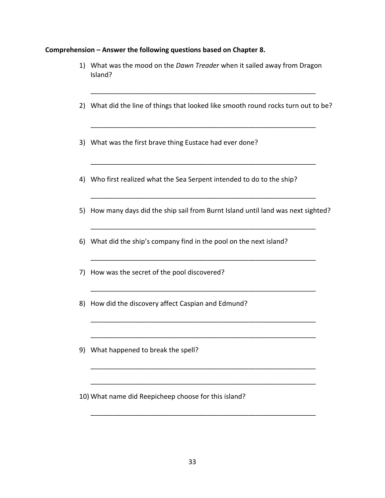## **Comprehension – Answer the following questions based on Chapter 8.**

|    | 1) What was the mood on the Dawn Treader when it sailed away from Dragon<br>Island? |  |
|----|-------------------------------------------------------------------------------------|--|
|    | 2) What did the line of things that looked like smooth round rocks turn out to be?  |  |
|    | 3) What was the first brave thing Eustace had ever done?                            |  |
|    | 4) Who first realized what the Sea Serpent intended to do to the ship?              |  |
| 5) | How many days did the ship sail from Burnt Island until land was next sighted?      |  |
|    | 6) What did the ship's company find in the pool on the next island?                 |  |
| 7) | How was the secret of the pool discovered?                                          |  |
| 8) | How did the discovery affect Caspian and Edmund?                                    |  |
| 9) | What happened to break the spell?                                                   |  |
|    | 10) What name did Reepicheep choose for this island?                                |  |

\_\_\_\_\_\_\_\_\_\_\_\_\_\_\_\_\_\_\_\_\_\_\_\_\_\_\_\_\_\_\_\_\_\_\_\_\_\_\_\_\_\_\_\_\_\_\_\_\_\_\_\_\_\_\_\_\_\_\_\_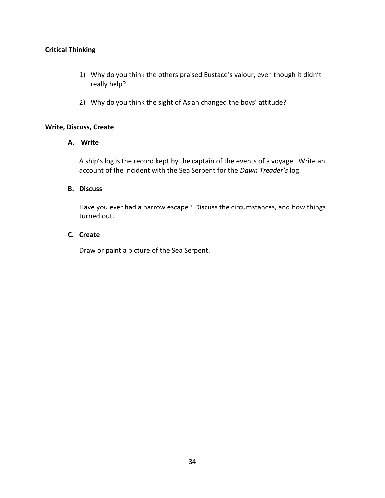- 1) Why do you think the others praised Eustace's valour, even though it didn't really help?
- 2) Why do you think the sight of Aslan changed the boys' attitude?

#### **Write, Discuss, Create**

#### **A. Write**

A ship's log is the record kept by the captain of the events of a voyage. Write an account of the incident with the Sea Serpent for the *Dawn Treader's* log.

#### **B. Discuss**

Have you ever had a narrow escape? Discuss the circumstances, and how things turned out.

#### **C. Create**

Draw or paint a picture of the Sea Serpent.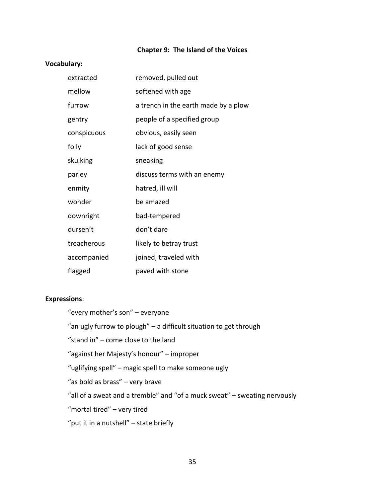#### **Chapter 9: The Island of the Voices**

#### **Vocabulary:**

| extracted   | removed, pulled out                  |
|-------------|--------------------------------------|
| mellow      | softened with age                    |
| furrow      | a trench in the earth made by a plow |
| gentry      | people of a specified group          |
| conspicuous | obvious, easily seen                 |
| folly       | lack of good sense                   |
| skulking    | sneaking                             |
| parley      | discuss terms with an enemy          |
| enmity      | hatred, ill will                     |
| wonder      | be amazed                            |
| downright   | bad-tempered                         |
| dursen't    | don't dare                           |
| treacherous | likely to betray trust               |
| accompanied | joined, traveled with                |
| flagged     | paved with stone                     |

#### **Expressions**:

- "every mother's son" everyone
- "an ugly furrow to plough" a difficult situation to get through
- "stand in" come close to the land
- "against her Majesty's honour" improper
- "uglifying spell" magic spell to make someone ugly
- "as bold as brass" very brave
- "all of a sweat and a tremble" and "of a muck sweat" sweating nervously
- "mortal tired" very tired
- "put it in a nutshell" state briefly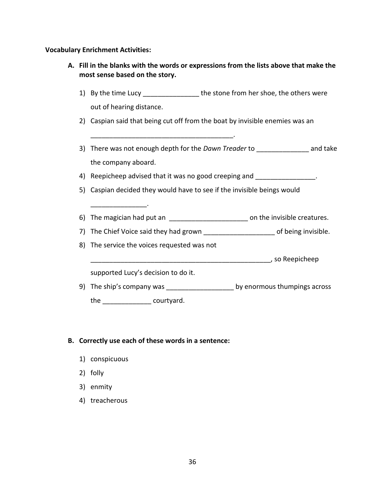**Vocabulary Enrichment Activities:**

| A. Fill in the blanks with the words or expressions from the lists above that make the<br>most sense based on the story. |                                                                                   |  |
|--------------------------------------------------------------------------------------------------------------------------|-----------------------------------------------------------------------------------|--|
|                                                                                                                          | 1) By the time Lucy ___________________ the stone from her shoe, the others were  |  |
|                                                                                                                          | out of hearing distance.                                                          |  |
|                                                                                                                          | 2) Caspian said that being cut off from the boat by invisible enemies was an      |  |
|                                                                                                                          |                                                                                   |  |
|                                                                                                                          | 3) There was not enough depth for the Dawn Treader to ______________ and take     |  |
|                                                                                                                          | the company aboard.                                                               |  |
|                                                                                                                          | 4) Reepicheep advised that it was no good creeping and _______________.           |  |
| Caspian decided they would have to see if the invisible beings would<br>5)                                               |                                                                                   |  |
|                                                                                                                          |                                                                                   |  |
|                                                                                                                          | 6) The magician had put an ________________________ on the invisible creatures.   |  |
|                                                                                                                          | 7) The Chief Voice said they had grown ______________________ of being invisible. |  |
|                                                                                                                          | 8) The service the voices requested was not                                       |  |
|                                                                                                                          |                                                                                   |  |
|                                                                                                                          | supported Lucy's decision to do it.                                               |  |
|                                                                                                                          | 9) The ship's company was ________________________ by enormous thumpings across   |  |
|                                                                                                                          | the<br>courtyard.                                                                 |  |

## **B. Correctly use each of these words in a sentence:**

- 1) conspicuous
- 2) folly
- 3) enmity
- 4) treacherous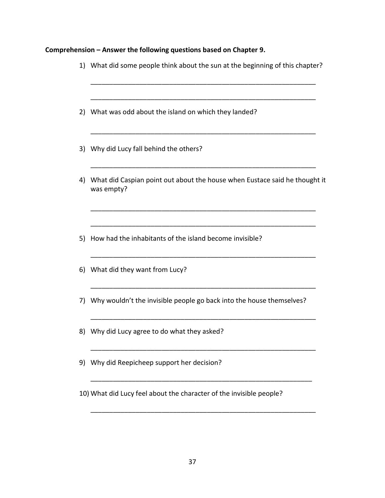## **Comprehension – Answer the following questions based on Chapter 9.**

|    | 1) What did some people think about the sun at the beginning of this chapter?            |
|----|------------------------------------------------------------------------------------------|
| 2) | What was odd about the island on which they landed?                                      |
| 3) | Why did Lucy fall behind the others?                                                     |
| 4) | What did Caspian point out about the house when Eustace said he thought it<br>was empty? |
|    | 5) How had the inhabitants of the island become invisible?                               |
|    | 6) What did they want from Lucy?                                                         |
| 7) | Why wouldn't the invisible people go back into the house themselves?                     |
|    | 8) Why did Lucy agree to do what they asked?                                             |
|    | 9) Why did Reepicheep support her decision?                                              |
|    | 10) What did Lucy feel about the character of the invisible people?                      |
|    |                                                                                          |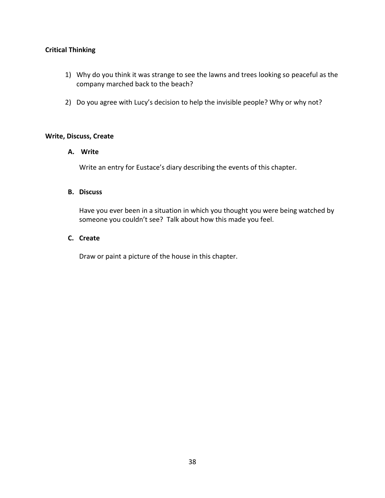- 1) Why do you think it was strange to see the lawns and trees looking so peaceful as the company marched back to the beach?
- 2) Do you agree with Lucy's decision to help the invisible people? Why or why not?

#### **Write, Discuss, Create**

#### **A. Write**

Write an entry for Eustace's diary describing the events of this chapter.

#### **B. Discuss**

Have you ever been in a situation in which you thought you were being watched by someone you couldn't see? Talk about how this made you feel.

#### **C. Create**

Draw or paint a picture of the house in this chapter.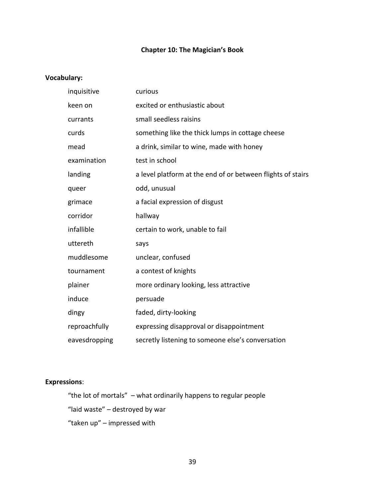#### **Chapter 10: The Magician's Book**

#### **Vocabulary:**

| inquisitive   | curious                                                     |
|---------------|-------------------------------------------------------------|
| keen on       | excited or enthusiastic about                               |
| currants      | small seedless raisins                                      |
| curds         | something like the thick lumps in cottage cheese            |
| mead          | a drink, similar to wine, made with honey                   |
| examination   | test in school                                              |
| landing       | a level platform at the end of or between flights of stairs |
| queer         | odd, unusual                                                |
| grimace       | a facial expression of disgust                              |
| corridor      | hallway                                                     |
| infallible    | certain to work, unable to fail                             |
| uttereth      | says                                                        |
| muddlesome    | unclear, confused                                           |
| tournament    | a contest of knights                                        |
| plainer       | more ordinary looking, less attractive                      |
| induce        | persuade                                                    |
| dingy         | faded, dirty-looking                                        |
| reproachfully | expressing disapproval or disappointment                    |
| eavesdropping | secretly listening to someone else's conversation           |

## **Expressions**:

"the lot of mortals" – what ordinarily happens to regular people "laid waste" – destroyed by war

"taken up" – impressed with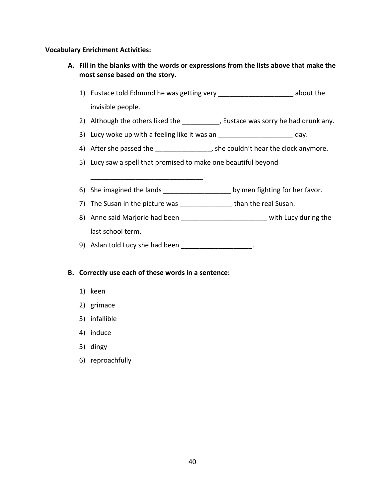#### **Vocabulary Enrichment Activities:**

- **A. Fill in the blanks with the words or expressions from the lists above that make the most sense based on the story.**
	- 1) Eustace told Edmund he was getting very \_\_\_\_\_\_\_\_\_\_\_\_\_\_\_\_\_\_\_\_ about the invisible people.
	- 2) Although the others liked the \_\_\_\_\_\_\_\_\_, Eustace was sorry he had drunk any.
	- 3) Lucy woke up with a feeling like it was an \_\_\_\_\_\_\_\_\_\_\_\_\_\_\_\_\_\_\_\_\_\_\_\_\_\_ day.
	- 4) After she passed the  $\qquad \qquad$ , she couldn't hear the clock anymore.
	- 5) Lucy saw a spell that promised to make one beautiful beyond
	- 6) She imagined the lands \_\_\_\_\_\_\_\_\_\_\_\_\_\_\_\_\_\_\_\_\_\_\_\_\_\_\_ by men fighting for her favor.
	- 7) The Susan in the picture was **than the real Susan.**
	- 8) Anne said Marjorie had been \_\_\_\_\_\_\_\_\_\_\_\_\_\_\_\_\_\_\_\_\_\_\_\_\_\_ with Lucy during the last school term.
	- 9) Aslan told Lucy she had been **with the same of the set of the set of the set of the set of the set of the set of the set of the set of the set of the set of the set of the set of the set of the set of the set of the set**

#### **B. Correctly use each of these words in a sentence:**

\_\_\_\_\_\_\_\_\_\_\_\_\_\_\_\_\_\_\_\_\_\_\_\_\_\_\_\_\_\_.

- 1) keen
- 2) grimace
- 3) infallible
- 4) induce
- 5) dingy
- 6) reproachfully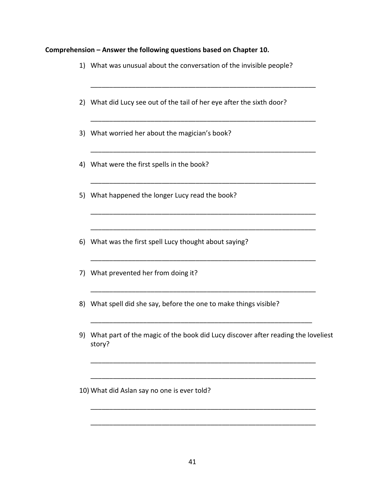## **Comprehension – Answer the following questions based on Chapter 10.**

| 1) | What was unusual about the conversation of the invisible people?                           |
|----|--------------------------------------------------------------------------------------------|
|    | 2) What did Lucy see out of the tail of her eye after the sixth door?                      |
|    | 3) What worried her about the magician's book?                                             |
|    | 4) What were the first spells in the book?                                                 |
|    | 5) What happened the longer Lucy read the book?                                            |
| 6) | What was the first spell Lucy thought about saying?                                        |
|    | 7) What prevented her from doing it?                                                       |
| 8) | What spell did she say, before the one to make things visible?                             |
| 9) | What part of the magic of the book did Lucy discover after reading the loveliest<br>story? |
|    |                                                                                            |

10) What did Aslan say no one is ever told?

\_\_\_\_\_\_\_\_\_\_\_\_\_\_\_\_\_\_\_\_\_\_\_\_\_\_\_\_\_\_\_\_\_\_\_\_\_\_\_\_\_\_\_\_\_\_\_\_\_\_\_\_\_\_\_\_\_\_\_\_

\_\_\_\_\_\_\_\_\_\_\_\_\_\_\_\_\_\_\_\_\_\_\_\_\_\_\_\_\_\_\_\_\_\_\_\_\_\_\_\_\_\_\_\_\_\_\_\_\_\_\_\_\_\_\_\_\_\_\_\_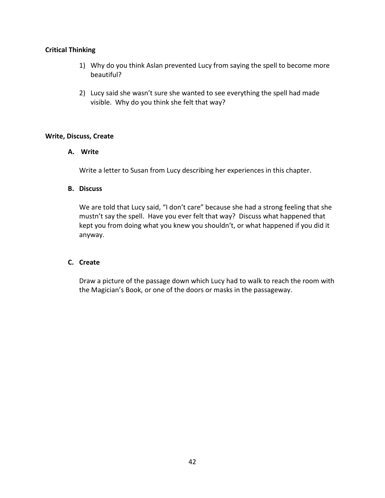- 1) Why do you think Aslan prevented Lucy from saying the spell to become more beautiful?
- 2) Lucy said she wasn't sure she wanted to see everything the spell had made visible. Why do you think she felt that way?

#### **Write, Discuss, Create**

#### **A. Write**

Write a letter to Susan from Lucy describing her experiences in this chapter.

#### **B. Discuss**

We are told that Lucy said, "I don't care" because she had a strong feeling that she mustn't say the spell. Have you ever felt that way? Discuss what happened that kept you from doing what you knew you shouldn't, or what happened if you did it anyway.

#### **C. Create**

Draw a picture of the passage down which Lucy had to walk to reach the room with the Magician's Book, or one of the doors or masks in the passageway.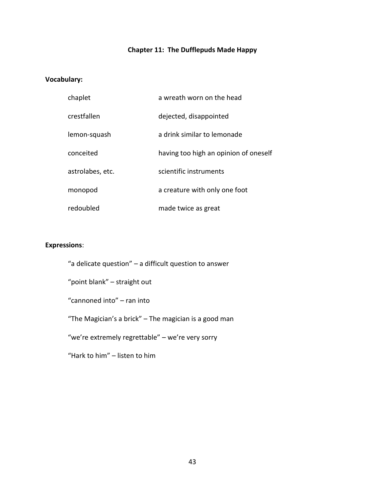## **Chapter 11: The Dufflepuds Made Happy**

#### **Vocabulary:**

| chaplet          | a wreath worn on the head             |
|------------------|---------------------------------------|
| crestfallen      | dejected, disappointed                |
| lemon-squash     | a drink similar to lemonade           |
| conceited        | having too high an opinion of oneself |
| astrolabes, etc. | scientific instruments                |
| monopod          | a creature with only one foot         |
| redoubled        | made twice as great                   |

#### **Expressions**:

"a delicate question" – a difficult question to answer

"point blank" – straight out

"cannoned into" – ran into

"The Magician's a brick" – The magician is a good man

"we're extremely regrettable" – we're very sorry

"Hark to him" – listen to him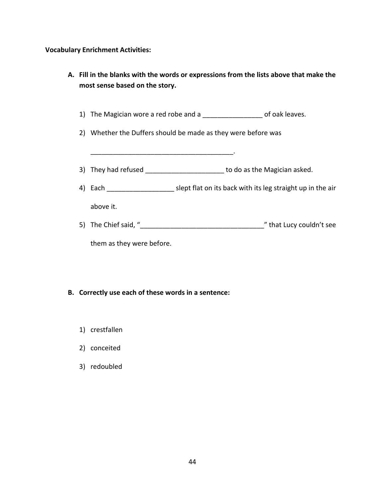## **Vocabulary Enrichment Activities:**

| A. Fill in the blanks with the words or expressions from the lists above that make the<br>most sense based on the story. |                           |                                                                            |  |
|--------------------------------------------------------------------------------------------------------------------------|---------------------------|----------------------------------------------------------------------------|--|
|                                                                                                                          |                           | 1) The Magician wore a red robe and a ____________________ of oak leaves.  |  |
|                                                                                                                          |                           | 2) Whether the Duffers should be made as they were before was              |  |
|                                                                                                                          |                           |                                                                            |  |
|                                                                                                                          |                           | 3) They had refused _________________________ to do as the Magician asked. |  |
|                                                                                                                          |                           |                                                                            |  |
|                                                                                                                          | above it.                 |                                                                            |  |
|                                                                                                                          |                           |                                                                            |  |
|                                                                                                                          | them as they were before. |                                                                            |  |

## **B. Correctly use each of these words in a sentence:**

- 1) crestfallen
- 2) conceited
- 3) redoubled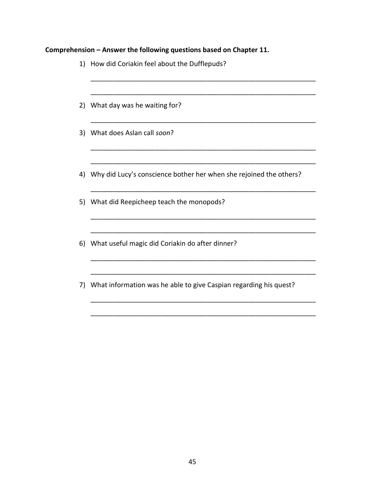## **Comprehension – Answer the following questions based on Chapter 11.**

|    | 1) How did Coriakin feel about the Dufflepuds?                        |
|----|-----------------------------------------------------------------------|
|    | 2) What day was he waiting for?                                       |
|    | 3) What does Aslan call soon?                                         |
|    | 4) Why did Lucy's conscience bother her when she rejoined the others? |
|    | 5) What did Reepicheep teach the monopods?                            |
|    | 6) What useful magic did Coriakin do after dinner?                    |
| 7) | What information was he able to give Caspian regarding his quest?     |

\_\_\_\_\_\_\_\_\_\_\_\_\_\_\_\_\_\_\_\_\_\_\_\_\_\_\_\_\_\_\_\_\_\_\_\_\_\_\_\_\_\_\_\_\_\_\_\_\_\_\_\_\_\_\_\_\_\_\_\_

\_\_\_\_\_\_\_\_\_\_\_\_\_\_\_\_\_\_\_\_\_\_\_\_\_\_\_\_\_\_\_\_\_\_\_\_\_\_\_\_\_\_\_\_\_\_\_\_\_\_\_\_\_\_\_\_\_\_\_\_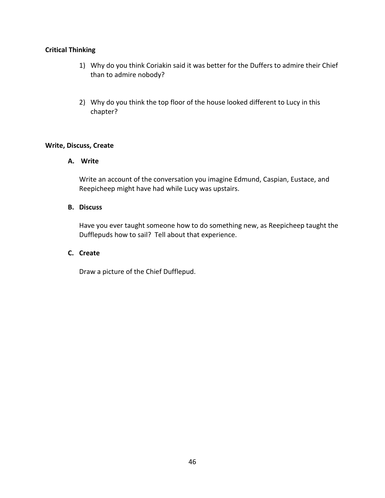- 1) Why do you think Coriakin said it was better for the Duffers to admire their Chief than to admire nobody?
- 2) Why do you think the top floor of the house looked different to Lucy in this chapter?

#### **Write, Discuss, Create**

#### **A. Write**

Write an account of the conversation you imagine Edmund, Caspian, Eustace, and Reepicheep might have had while Lucy was upstairs.

#### **B. Discuss**

Have you ever taught someone how to do something new, as Reepicheep taught the Dufflepuds how to sail? Tell about that experience.

#### **C. Create**

Draw a picture of the Chief Dufflepud.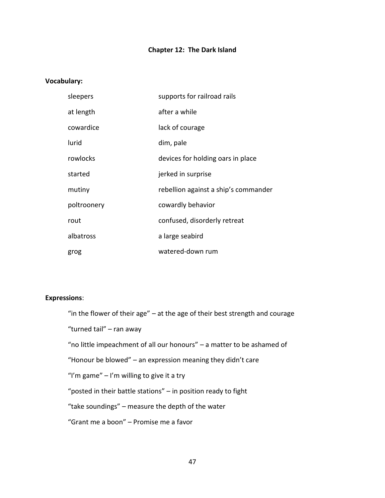#### **Chapter 12: The Dark Island**

#### **Vocabulary:**

| sleepers    | supports for railroad rails          |
|-------------|--------------------------------------|
| at length   | after a while                        |
| cowardice   | lack of courage                      |
| lurid       | dim, pale                            |
| rowlocks    | devices for holding oars in place    |
| started     | jerked in surprise                   |
| mutiny      | rebellion against a ship's commander |
| poltroonery | cowardly behavior                    |
| rout        | confused, disorderly retreat         |
| albatross   | a large seabird                      |
| grog        | watered-down rum                     |

#### **Expressions**:

"in the flower of their age" – at the age of their best strength and courage

"turned tail" – ran away

"no little impeachment of all our honours" – a matter to be ashamed of

"Honour be blowed" – an expression meaning they didn't care

"I'm game"  $-$  I'm willing to give it a try

"posted in their battle stations" – in position ready to fight

"take soundings" – measure the depth of the water

"Grant me a boon" – Promise me a favor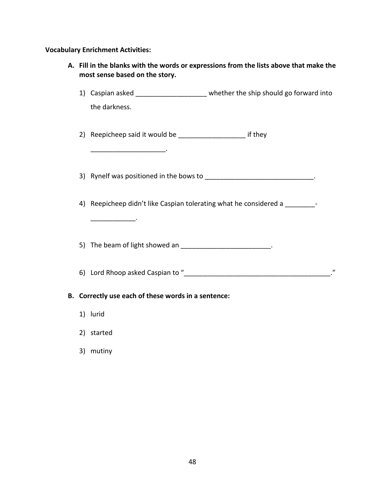**Vocabulary Enrichment Activities:**

| A. Fill in the blanks with the words or expressions from the lists above that make the<br>most sense based on the story. |                                                                                 |  |  |
|--------------------------------------------------------------------------------------------------------------------------|---------------------------------------------------------------------------------|--|--|
|                                                                                                                          | 1) Caspian asked ______________________ whether the ship should go forward into |  |  |
|                                                                                                                          | the darkness.                                                                   |  |  |
|                                                                                                                          | 2) Reepicheep said it would be ____________________________ if they             |  |  |
|                                                                                                                          | 3) Rynelf was positioned in the bows to _______________________________.        |  |  |
|                                                                                                                          | 4) Reepicheep didn't like Caspian tolerating what he considered a               |  |  |
|                                                                                                                          | 5) The beam of light showed an _________________________.                       |  |  |
|                                                                                                                          |                                                                                 |  |  |
|                                                                                                                          | B. Correctly use each of these words in a sentence:                             |  |  |
|                                                                                                                          | 1) lurid                                                                        |  |  |
|                                                                                                                          | 2) started                                                                      |  |  |

3) mutiny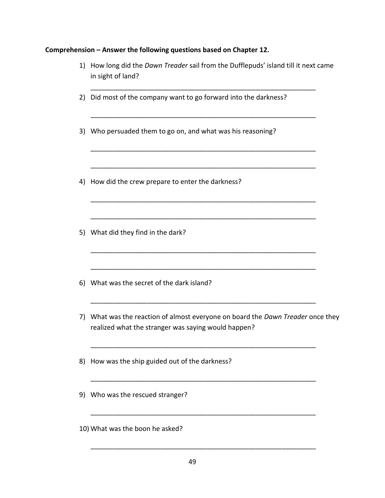## **Comprehension – Answer the following questions based on Chapter 12.**

| 1) | How long did the Dawn Treader sail from the Dufflepuds' island till it next came<br>in sight of land?                               |  |
|----|-------------------------------------------------------------------------------------------------------------------------------------|--|
|    | 2) Did most of the company want to go forward into the darkness?                                                                    |  |
| 3) | Who persuaded them to go on, and what was his reasoning?                                                                            |  |
| 4) | How did the crew prepare to enter the darkness?                                                                                     |  |
|    | 5) What did they find in the dark?                                                                                                  |  |
|    | 6) What was the secret of the dark island?                                                                                          |  |
| 7) | What was the reaction of almost everyone on board the Dawn Treader once they<br>realized what the stranger was saying would happen? |  |
| 8) | How was the ship guided out of the darkness?                                                                                        |  |
| 9) | Who was the rescued stranger?                                                                                                       |  |

10) What was the boon he asked?

\_\_\_\_\_\_\_\_\_\_\_\_\_\_\_\_\_\_\_\_\_\_\_\_\_\_\_\_\_\_\_\_\_\_\_\_\_\_\_\_\_\_\_\_\_\_\_\_\_\_\_\_\_\_\_\_\_\_\_\_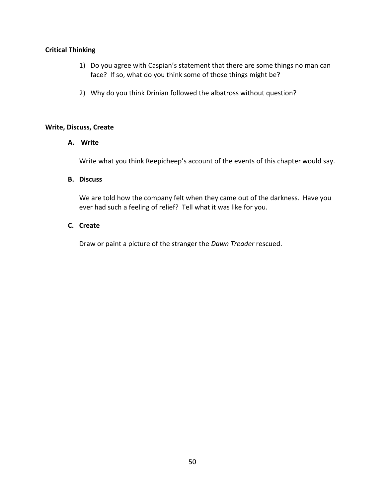- 1) Do you agree with Caspian's statement that there are some things no man can face? If so, what do you think some of those things might be?
- 2) Why do you think Drinian followed the albatross without question?

#### **Write, Discuss, Create**

#### **A. Write**

Write what you think Reepicheep's account of the events of this chapter would say.

#### **B. Discuss**

We are told how the company felt when they came out of the darkness. Have you ever had such a feeling of relief? Tell what it was like for you.

#### **C. Create**

Draw or paint a picture of the stranger the *Dawn Treader* rescued.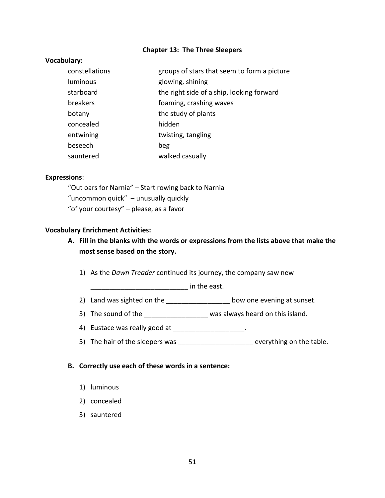#### **Chapter 13: The Three Sleepers**

#### **Vocabulary:**

| constellations | groups of stars that seem to form a picture |
|----------------|---------------------------------------------|
| luminous       | glowing, shining                            |
| starboard      | the right side of a ship, looking forward   |
| breakers       | foaming, crashing waves                     |
| botany         | the study of plants                         |
| concealed      | hidden                                      |
| entwining      | twisting, tangling                          |
| beseech        | beg                                         |
| sauntered      | walked casually                             |

#### **Expressions**:

"Out oars for Narnia" – Start rowing back to Narnia "uncommon quick" – unusually quickly "of your courtesy" – please, as a favor

#### **Vocabulary Enrichment Activities:**

#### **A. Fill in the blanks with the words or expressions from the lists above that make the most sense based on the story.**

1) As the *Dawn Treader* continued its journey, the company saw new

 $\blacksquare$  in the east.

- 2) Land was sighted on the \_\_\_\_\_\_\_\_\_\_\_\_\_\_\_\_\_\_\_ bow one evening at sunset.
- 3) The sound of the \_\_\_\_\_\_\_\_\_\_\_\_\_\_\_\_\_\_\_\_ was always heard on this island.
- 4) Eustace was really good at \_\_\_\_\_\_\_\_\_\_\_\_\_\_\_\_\_\_\_\_\_.
- 5) The hair of the sleepers was \_\_\_\_\_\_\_\_\_\_\_\_\_\_\_\_\_\_\_\_\_ everything on the table.

#### **B. Correctly use each of these words in a sentence:**

- 1) luminous
- 2) concealed
- 3) sauntered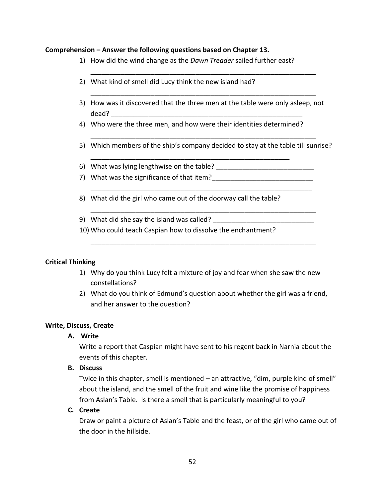#### **Comprehension – Answer the following questions based on Chapter 13.**

- 1) How did the wind change as the *Dawn Treader* sailed further east?
- 2) What kind of smell did Lucy think the new island had?
- 3) How was it discovered that the three men at the table were only asleep, not dead? \_\_\_\_\_\_\_\_\_\_\_\_\_\_\_\_\_\_\_\_\_\_\_\_\_\_\_\_\_\_\_\_\_\_\_\_\_\_\_\_\_\_\_\_\_\_\_\_\_\_\_

\_\_\_\_\_\_\_\_\_\_\_\_\_\_\_\_\_\_\_\_\_\_\_\_\_\_\_\_\_\_\_\_\_\_\_\_\_\_\_\_\_\_\_\_\_\_\_\_\_\_\_\_\_\_\_\_\_\_\_\_

\_\_\_\_\_\_\_\_\_\_\_\_\_\_\_\_\_\_\_\_\_\_\_\_\_\_\_\_\_\_\_\_\_\_\_\_\_\_\_\_\_\_\_\_\_\_\_\_\_\_\_\_\_\_\_\_\_\_\_\_

4) Who were the three men, and how were their identities determined?

\_\_\_\_\_\_\_\_\_\_\_\_\_\_\_\_\_\_\_\_\_\_\_\_\_\_\_\_\_\_\_\_\_\_\_\_\_\_\_\_\_\_\_\_\_\_\_\_\_\_\_\_\_

- \_\_\_\_\_\_\_\_\_\_\_\_\_\_\_\_\_\_\_\_\_\_\_\_\_\_\_\_\_\_\_\_\_\_\_\_\_\_\_\_\_\_\_\_\_\_\_\_\_\_\_\_\_\_\_\_\_\_\_\_ 5) Which members of the ship's company decided to stay at the table till sunrise?
- 6) What was lying lengthwise on the table?
- 7) What was the significance of that item?

\_\_\_\_\_\_\_\_\_\_\_\_\_\_\_\_\_\_\_\_\_\_\_\_\_\_\_\_\_\_\_\_\_\_\_\_\_\_\_\_\_\_\_\_\_\_\_\_\_\_\_\_\_\_\_\_\_\_\_

\_\_\_\_\_\_\_\_\_\_\_\_\_\_\_\_\_\_\_\_\_\_\_\_\_\_\_\_\_\_\_\_\_\_\_\_\_\_\_\_\_\_\_\_\_\_\_\_\_\_\_\_\_\_\_\_\_\_\_\_

\_\_\_\_\_\_\_\_\_\_\_\_\_\_\_\_\_\_\_\_\_\_\_\_\_\_\_\_\_\_\_\_\_\_\_\_\_\_\_\_\_\_\_\_\_\_\_\_\_\_\_\_\_\_\_\_\_\_\_\_

- 8) What did the girl who came out of the doorway call the table?
- 9) What did she say the island was called?
- 10) Who could teach Caspian how to dissolve the enchantment?

#### **Critical Thinking**

- 1) Why do you think Lucy felt a mixture of joy and fear when she saw the new constellations?
- 2) What do you think of Edmund's question about whether the girl was a friend, and her answer to the question?

#### **Write, Discuss, Create**

#### **A. Write**

Write a report that Caspian might have sent to his regent back in Narnia about the events of this chapter.

#### **B. Discuss**

Twice in this chapter, smell is mentioned – an attractive, "dim, purple kind of smell" about the island, and the smell of the fruit and wine like the promise of happiness from Aslan's Table. Is there a smell that is particularly meaningful to you?

#### **C. Create**

Draw or paint a picture of Aslan's Table and the feast, or of the girl who came out of the door in the hillside.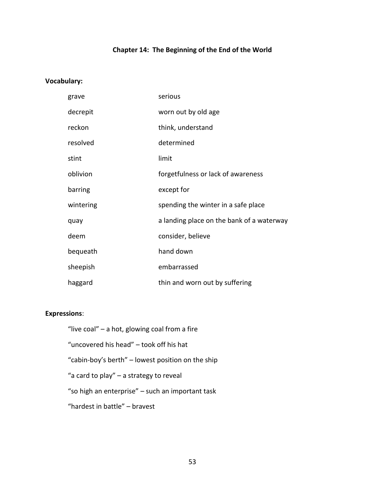## **Chapter 14: The Beginning of the End of the World**

#### **Vocabulary:**

| grave     | serious                                   |
|-----------|-------------------------------------------|
| decrepit  | worn out by old age                       |
| reckon    | think, understand                         |
| resolved  | determined                                |
| stint     | limit                                     |
| oblivion  | forgetfulness or lack of awareness        |
| barring   | except for                                |
| wintering | spending the winter in a safe place       |
| quay      | a landing place on the bank of a waterway |
| deem      | consider, believe                         |
| bequeath  | hand down                                 |
| sheepish  | embarrassed                               |
| haggard   | thin and worn out by suffering            |

#### **Expressions**:

"live coal" – a hot, glowing coal from a fire "uncovered his head" – took off his hat "cabin-boy's berth" – lowest position on the ship "a card to play" – a strategy to reveal "so high an enterprise" – such an important task "hardest in battle" – bravest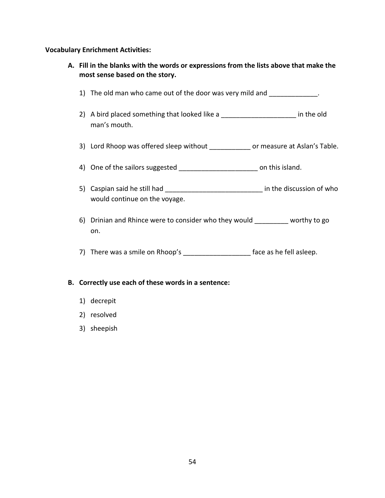#### **Vocabulary Enrichment Activities:**

- **A. Fill in the blanks with the words or expressions from the lists above that make the most sense based on the story.**
	- 1) The old man who came out of the door was very mild and \_\_\_\_\_\_\_\_\_\_\_\_.
	- 2) A bird placed something that looked like a \_\_\_\_\_\_\_\_\_\_\_\_\_\_\_\_\_\_\_\_\_\_\_ in the old man's mouth.
	- 3) Lord Rhoop was offered sleep without \_\_\_\_\_\_\_\_\_\_\_ or measure at Aslan's Table.
	- 4) One of the sailors suggested \_\_\_\_\_\_\_\_\_\_\_\_\_\_\_\_\_\_\_\_\_\_\_\_\_\_ on this island.
	- 5) Caspian said he still had \_\_\_\_\_\_\_\_\_\_\_\_\_\_\_\_\_\_\_\_\_\_\_\_\_\_\_\_\_\_\_\_ in the discussion of who would continue on the voyage.
	- 6) Drinian and Rhince were to consider who they would \_\_\_\_\_\_\_\_\_ worthy to go on.
	- 7) There was a smile on Rhoop's \_\_\_\_\_\_\_\_\_\_\_\_\_\_\_\_\_\_\_\_\_ face as he fell asleep.

#### **B. Correctly use each of these words in a sentence:**

- 1) decrepit
- 2) resolved
- 3) sheepish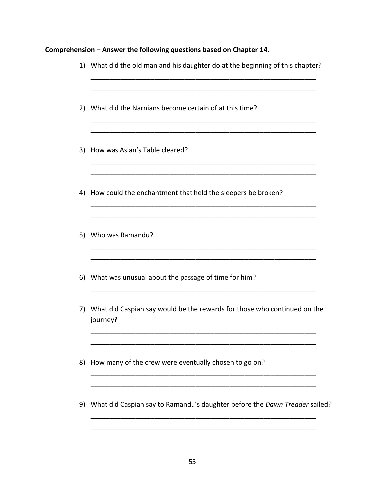## **Comprehension – Answer the following questions based on Chapter 14.**

|    | 1) What did the old man and his daughter do at the beginning of this chapter?           |
|----|-----------------------------------------------------------------------------------------|
|    | 2) What did the Narnians become certain of at this time?                                |
|    | 3) How was Aslan's Table cleared?                                                       |
|    | 4) How could the enchantment that held the sleepers be broken?                          |
|    | 5) Who was Ramandu?                                                                     |
|    | 6) What was unusual about the passage of time for him?                                  |
|    | 7) What did Caspian say would be the rewards for those who continued on the<br>journey? |
| 8) | How many of the crew were eventually chosen to go on?                                   |
|    | 9) What did Caspian say to Ramandu's daughter before the Dawn Treader sailed?           |
|    |                                                                                         |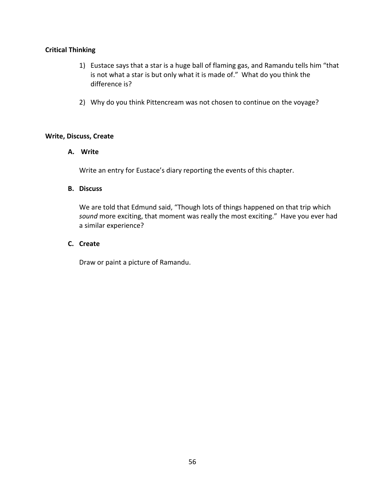- 1) Eustace says that a star is a huge ball of flaming gas, and Ramandu tells him "that is not what a star is but only what it is made of." What do you think the difference is?
- 2) Why do you think Pittencream was not chosen to continue on the voyage?

#### **Write, Discuss, Create**

#### **A. Write**

Write an entry for Eustace's diary reporting the events of this chapter.

#### **B. Discuss**

We are told that Edmund said, "Though lots of things happened on that trip which *sound* more exciting, that moment was really the most exciting." Have you ever had a similar experience?

#### **C. Create**

Draw or paint a picture of Ramandu.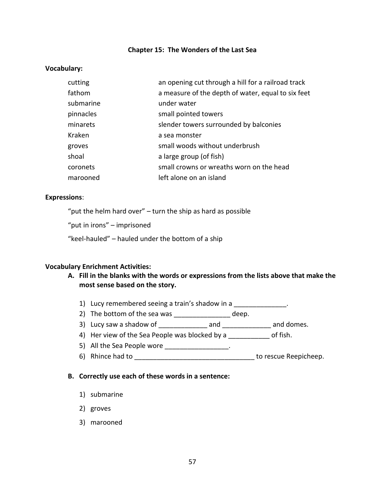#### **Chapter 15: The Wonders of the Last Sea**

#### **Vocabulary:**

| cutting   | an opening cut through a hill for a railroad track |
|-----------|----------------------------------------------------|
| fathom    | a measure of the depth of water, equal to six feet |
| submarine | under water                                        |
| pinnacles | small pointed towers                               |
| minarets  | slender towers surrounded by balconies             |
| Kraken    | a sea monster                                      |
| groves    | small woods without underbrush                     |
| shoal     | a large group (of fish)                            |
| coronets  | small crowns or wreaths worn on the head           |
| marooned  | left alone on an island                            |

#### **Expressions**:

"put the helm hard over" – turn the ship as hard as possible

"put in irons" – imprisoned

"keel-hauled" – hauled under the bottom of a ship

#### **Vocabulary Enrichment Activities:**

- **A. Fill in the blanks with the words or expressions from the lists above that make the most sense based on the story.**
	- 1) Lucy remembered seeing a train's shadow in a \_\_\_\_\_\_\_\_\_\_\_\_\_\_.
	- 2) The bottom of the sea was \_\_\_\_\_\_\_\_\_\_\_\_\_\_\_\_ deep.
	- 3) Lucy saw a shadow of and and and and domes.
	- 4) Her view of the Sea People was blocked by a controller of fish.
	- 5) All the Sea People wore \_\_\_\_\_\_\_\_\_\_\_\_\_\_\_\_\_\_.
	- 6) Rhince had to **Exercise 20** and to the set of rescue Reepicheep.

#### **B. Correctly use each of these words in a sentence:**

- 1) submarine
- 2) groves
- 3) marooned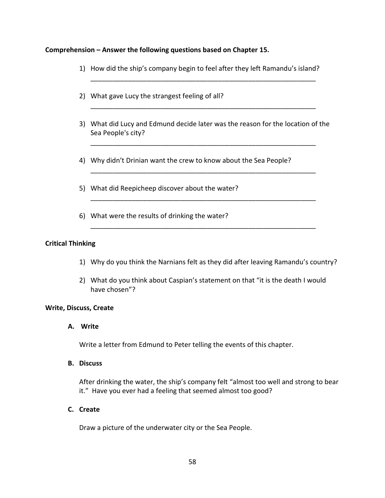#### **Comprehension – Answer the following questions based on Chapter 15.**

1) How did the ship's company begin to feel after they left Ramandu's island?

\_\_\_\_\_\_\_\_\_\_\_\_\_\_\_\_\_\_\_\_\_\_\_\_\_\_\_\_\_\_\_\_\_\_\_\_\_\_\_\_\_\_\_\_\_\_\_\_\_\_\_\_\_\_\_\_\_\_\_\_

\_\_\_\_\_\_\_\_\_\_\_\_\_\_\_\_\_\_\_\_\_\_\_\_\_\_\_\_\_\_\_\_\_\_\_\_\_\_\_\_\_\_\_\_\_\_\_\_\_\_\_\_\_\_\_\_\_\_\_\_

- 2) What gave Lucy the strangest feeling of all?
- 3) What did Lucy and Edmund decide later was the reason for the location of the Sea People's city?

\_\_\_\_\_\_\_\_\_\_\_\_\_\_\_\_\_\_\_\_\_\_\_\_\_\_\_\_\_\_\_\_\_\_\_\_\_\_\_\_\_\_\_\_\_\_\_\_\_\_\_\_\_\_\_\_\_\_\_\_

\_\_\_\_\_\_\_\_\_\_\_\_\_\_\_\_\_\_\_\_\_\_\_\_\_\_\_\_\_\_\_\_\_\_\_\_\_\_\_\_\_\_\_\_\_\_\_\_\_\_\_\_\_\_\_\_\_\_\_\_

\_\_\_\_\_\_\_\_\_\_\_\_\_\_\_\_\_\_\_\_\_\_\_\_\_\_\_\_\_\_\_\_\_\_\_\_\_\_\_\_\_\_\_\_\_\_\_\_\_\_\_\_\_\_\_\_\_\_\_\_

\_\_\_\_\_\_\_\_\_\_\_\_\_\_\_\_\_\_\_\_\_\_\_\_\_\_\_\_\_\_\_\_\_\_\_\_\_\_\_\_\_\_\_\_\_\_\_\_\_\_\_\_\_\_\_\_\_\_\_\_

- 4) Why didn't Drinian want the crew to know about the Sea People?
- 5) What did Reepicheep discover about the water?
- 6) What were the results of drinking the water?

#### **Critical Thinking**

- 1) Why do you think the Narnians felt as they did after leaving Ramandu's country?
- 2) What do you think about Caspian's statement on that "it is the death I would have chosen"?

#### **Write, Discuss, Create**

**A. Write**

Write a letter from Edmund to Peter telling the events of this chapter.

#### **B. Discuss**

After drinking the water, the ship's company felt "almost too well and strong to bear it." Have you ever had a feeling that seemed almost too good?

#### **C. Create**

Draw a picture of the underwater city or the Sea People.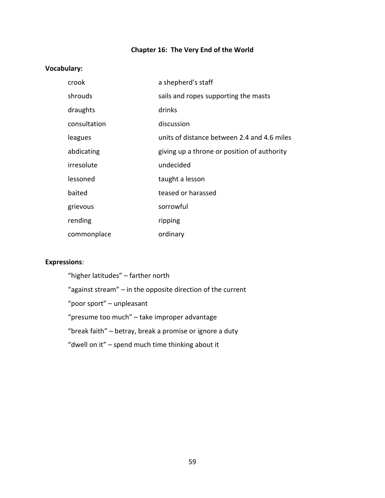## **Chapter 16: The Very End of the World**

## **Vocabulary:**

| crook        | a shepherd's staff                          |
|--------------|---------------------------------------------|
| shrouds      | sails and ropes supporting the masts        |
| draughts     | drinks                                      |
| consultation | discussion                                  |
| leagues      | units of distance between 2.4 and 4.6 miles |
| abdicating   | giving up a throne or position of authority |
| irresolute   | undecided                                   |
| lessoned     | taught a lesson                             |
| baited       | teased or harassed                          |
| grievous     | sorrowful                                   |
| rending      | ripping                                     |
| commonplace  | ordinary                                    |

## **Expressions**:

| "higher latitudes" – farther north                            |
|---------------------------------------------------------------|
| "against stream" $-$ in the opposite direction of the current |
| "poor sport" – unpleasant                                     |
| "presume too much" – take improper advantage                  |
| "break faith" – betray, break a promise or ignore a duty      |
| "dwell on it" – spend much time thinking about it             |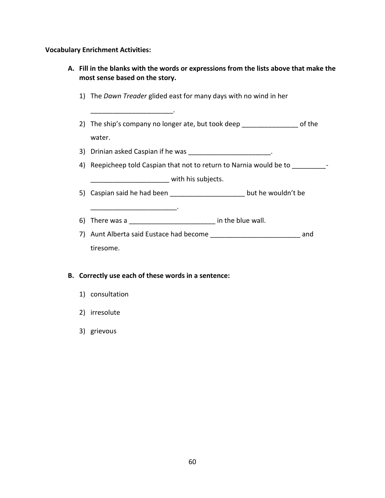#### **Vocabulary Enrichment Activities:**

- **A. Fill in the blanks with the words or expressions from the lists above that make the most sense based on the story.**
	- 1) The *Dawn Treader* glided east for many days with no wind in her
	- 2) The ship's company no longer ate, but took deep \_\_\_\_\_\_\_\_\_\_\_\_\_\_\_\_\_\_\_ of the water.
	- 3) Drinian asked Caspian if he was \_\_\_\_\_\_\_\_\_\_\_\_\_\_\_\_\_\_\_\_\_\_\_.
	- 4) Reepicheep told Caspian that not to return to Narnia would be to  $-$ \_\_\_\_\_\_\_\_\_\_\_\_\_\_\_\_\_\_\_\_\_ with his subjects.
	- 5) Caspian said he had been \_\_\_\_\_\_\_\_\_\_\_\_\_\_\_\_\_\_\_\_\_\_\_\_ but he wouldn't be
	- 6) There was a \_\_\_\_\_\_\_\_\_\_\_\_\_\_\_\_\_\_\_\_\_\_\_ in the blue wall.

 $\mathcal{L}=\mathcal{L}$ 

7) Aunt Alberta said Eustace had become \_\_\_\_\_\_\_\_\_\_\_\_\_\_\_\_\_\_\_\_\_\_\_\_\_\_\_\_\_\_\_\_\_\_ and tiresome.

#### **B. Correctly use each of these words in a sentence:**

\_\_\_\_\_\_\_\_\_\_\_\_\_\_\_\_\_\_\_\_\_\_.

- 1) consultation
- 2) irresolute
- 3) grievous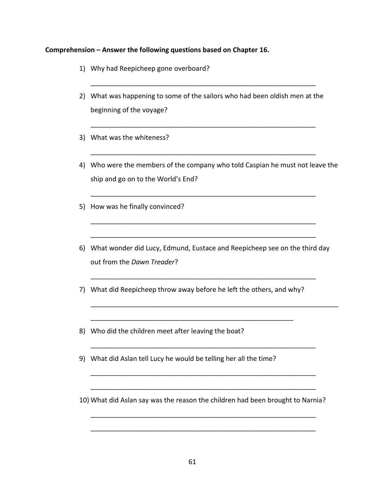#### **Comprehension – Answer the following questions based on Chapter 16.**

- 1) Why had Reepicheep gone overboard?
- 2) What was happening to some of the sailors who had been oldish men at the beginning of the voyage?

\_\_\_\_\_\_\_\_\_\_\_\_\_\_\_\_\_\_\_\_\_\_\_\_\_\_\_\_\_\_\_\_\_\_\_\_\_\_\_\_\_\_\_\_\_\_\_\_\_\_\_\_\_\_\_\_\_\_\_\_

\_\_\_\_\_\_\_\_\_\_\_\_\_\_\_\_\_\_\_\_\_\_\_\_\_\_\_\_\_\_\_\_\_\_\_\_\_\_\_\_\_\_\_\_\_\_\_\_\_\_\_\_\_\_\_\_\_\_\_\_

\_\_\_\_\_\_\_\_\_\_\_\_\_\_\_\_\_\_\_\_\_\_\_\_\_\_\_\_\_\_\_\_\_\_\_\_\_\_\_\_\_\_\_\_\_\_\_\_\_\_\_\_\_\_\_\_\_\_\_\_

\_\_\_\_\_\_\_\_\_\_\_\_\_\_\_\_\_\_\_\_\_\_\_\_\_\_\_\_\_\_\_\_\_\_\_\_\_\_\_\_\_\_\_\_\_\_\_\_\_\_\_\_\_\_\_\_\_\_\_\_

\_\_\_\_\_\_\_\_\_\_\_\_\_\_\_\_\_\_\_\_\_\_\_\_\_\_\_\_\_\_\_\_\_\_\_\_\_\_\_\_\_\_\_\_\_\_\_\_\_\_\_\_\_\_\_\_\_\_\_\_

\_\_\_\_\_\_\_\_\_\_\_\_\_\_\_\_\_\_\_\_\_\_\_\_\_\_\_\_\_\_\_\_\_\_\_\_\_\_\_\_\_\_\_\_\_\_\_\_\_\_\_\_\_\_\_\_\_\_\_\_

- 3) What was the whiteness?
- 4) Who were the members of the company who told Caspian he must not leave the ship and go on to the World's End?
- 5) How was he finally convinced?
- 6) What wonder did Lucy, Edmund, Eustace and Reepicheep see on the third day out from the *Dawn Treader*?

\_\_\_\_\_\_\_\_\_\_\_\_\_\_\_\_\_\_\_\_\_\_\_\_\_\_\_\_\_\_\_\_\_\_\_\_\_\_\_\_\_\_\_\_\_\_\_\_\_\_\_\_\_\_\_\_\_\_\_\_

\_\_\_\_\_\_\_\_\_\_\_\_\_\_\_\_\_\_\_\_\_\_\_\_\_\_\_\_\_\_\_\_\_\_\_\_\_\_\_\_\_\_\_\_\_\_\_\_\_\_\_\_\_\_\_\_\_\_\_\_\_\_\_\_\_\_

7) What did Reepicheep throw away before he left the others, and why?

\_\_\_\_\_\_\_\_\_\_\_\_\_\_\_\_\_\_\_\_\_\_\_\_\_\_\_\_\_\_\_\_\_\_\_\_\_\_\_\_\_\_\_\_\_\_\_\_\_\_\_\_\_\_

- 8) Who did the children meet after leaving the boat?
- 9) What did Aslan tell Lucy he would be telling her all the time?
- 10) What did Aslan say was the reason the children had been brought to Narnia?

\_\_\_\_\_\_\_\_\_\_\_\_\_\_\_\_\_\_\_\_\_\_\_\_\_\_\_\_\_\_\_\_\_\_\_\_\_\_\_\_\_\_\_\_\_\_\_\_\_\_\_\_\_\_\_\_\_\_\_\_

\_\_\_\_\_\_\_\_\_\_\_\_\_\_\_\_\_\_\_\_\_\_\_\_\_\_\_\_\_\_\_\_\_\_\_\_\_\_\_\_\_\_\_\_\_\_\_\_\_\_\_\_\_\_\_\_\_\_\_\_

\_\_\_\_\_\_\_\_\_\_\_\_\_\_\_\_\_\_\_\_\_\_\_\_\_\_\_\_\_\_\_\_\_\_\_\_\_\_\_\_\_\_\_\_\_\_\_\_\_\_\_\_\_\_\_\_\_\_\_\_

\_\_\_\_\_\_\_\_\_\_\_\_\_\_\_\_\_\_\_\_\_\_\_\_\_\_\_\_\_\_\_\_\_\_\_\_\_\_\_\_\_\_\_\_\_\_\_\_\_\_\_\_\_\_\_\_\_\_\_\_

\_\_\_\_\_\_\_\_\_\_\_\_\_\_\_\_\_\_\_\_\_\_\_\_\_\_\_\_\_\_\_\_\_\_\_\_\_\_\_\_\_\_\_\_\_\_\_\_\_\_\_\_\_\_\_\_\_\_\_\_